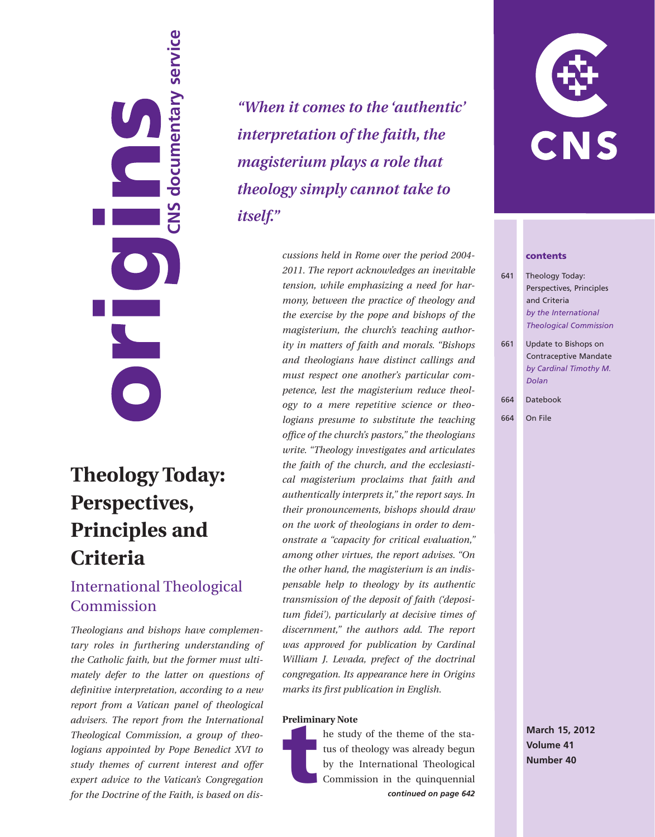# **Theology Today: Perspectives, Principles and Criteria**

**CNS documentary service**

documentary service

### International Theological **Commission**

*Theologians and bishops have complementary roles in furthering understanding of the Catholic faith, but the former must ultimately defer to the latter on questions of definitive interpretation, according to a new report from a Vatican panel of theological advisers. The report from the International Theological Commission, a group of theologians appointed by Pope Benedict XVI to study themes of current interest and offer expert advice to the Vatican's Congregation for the Doctrine of the Faith, is based on dis-*

*"When it comes to the 'authentic' interpretation of the faith, the magisterium plays a role that theology simply cannot take to itself."*

> *cussions held in Rome over the period 2004-* contents *2011. The report acknowledges an inevitable tension, while emphasizing a need for harmony, between the practice of theology and the exercise by the pope and bishops of the magisterium, the church's teaching authority in matters of faith and morals. "Bishops and theologians have distinct callings and must respect one another's particular competence, lest the magisterium reduce theology to a mere repetitive science or theologians presume to substitute the teaching office of the church's pastors," the theologians write. "Theology investigates and articulates the faith of the church, and the ecclesiastical magisterium proclaims that faith and authentically interprets it," the report says. In their pronouncements, bishops should draw on the work of theologians in order to demonstrate a "capacity for critical evaluation," among other virtues, the report advises. "On the other hand, the magisterium is an indispensable help to theology by its authentic transmission of the deposit of faith ('depositum fidei'), particularly at decisive times of discernment," the authors add. The report was approved for publication by Cardinal William J. Levada, prefect of the doctrinal congregation. Its appearance here in Origins marks its first publication in English.*

#### **Preliminary Note**

Prelimir<br>*t* he study of the theme of the status of theology was already begun by the International Theological Commission in the quinquennial *continued on page 642*



641

| Theology Today:               |
|-------------------------------|
| Perspectives, Principles      |
| and Criteria                  |
| by the International          |
| <b>Theological Commission</b> |
|                               |

661 Update to Bishops on Contraceptive Mandate *by Cardinal Timothy M. Dolan*

664 Datebook

664 On File

**March 15, 2012 Volume 41 Number 40**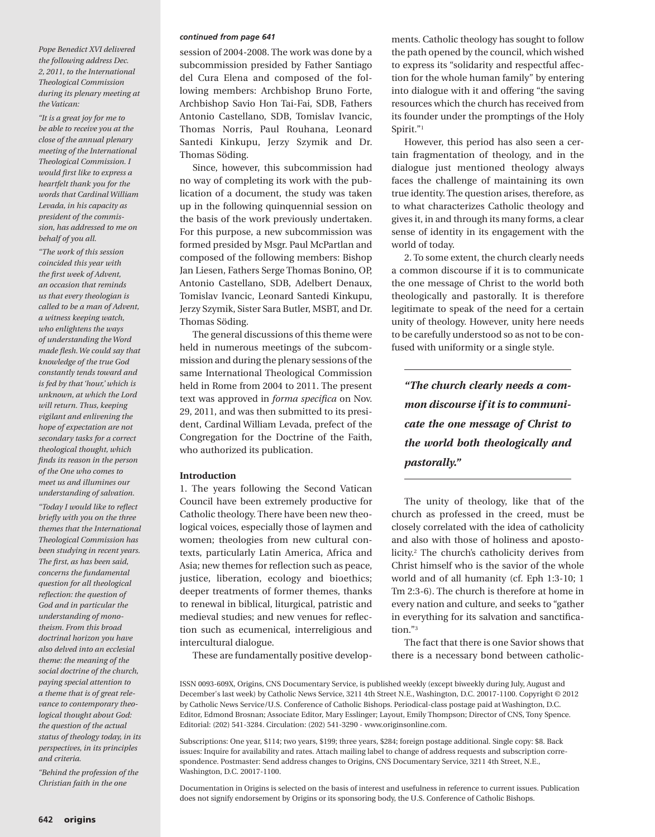*Pope Benedict XVI delivered the following address Dec. 2, 2011, to the International Theological Commission during its plenary meeting at the Vatican:*

*"It is a great joy for me to be able to receive you at the close of the annual plenary meeting of the International Theological Commission. I would first like to express a heartfelt thank you for the words that Cardinal William Levada, in his capacity as president of the commission, has addressed to me on behalf of you all.*

*"The work of this session coincided this year with the first week of Advent, an occasion that reminds us that every theologian is called to be a man of Advent, a witness keeping watch, who enlightens the ways of understanding the Word made flesh. We could say that knowledge of the true God constantly tends toward and is fed by that 'hour,' which is unknown, at which the Lord will return. Thus, keeping vigilant and enlivening the hope of expectation are not secondary tasks for a correct theological thought, which finds its reason in the person of the One who comes to meet us and illumines our understanding of salvation. "Today I would like to reflect briefly with you on the three themes that the International Theological Commission has been studying in recent years. The first, as has been said, concerns the fundamental question for all theological reflection: the question of God and in particular the understanding of monotheism. From this broad doctrinal horizon you have also delved into an ecclesial theme: the meaning of the social doctrine of the church, paying special attention to a theme that is of great relevance to contemporary theological thought about God: the question of the actual status of theology today, in its perspectives, in its principles and criteria.*

*"Behind the profession of the Christian faith in the one* 

#### *continued from page 641*

session of 2004-2008. The work was done by a subcommission presided by Father Santiago del Cura Elena and composed of the following members: Archbishop Bruno Forte, Archbishop Savio Hon Tai-Fai, SDB, Fathers Antonio Castellano, SDB, Tomislav Ivancic, Thomas Norris, Paul Rouhana, Leonard Santedi Kinkupu, Jerzy Szymik and Dr. Thomas Söding.

Since, however, this subcommission had no way of completing its work with the publication of a document, the study was taken up in the following quinquennial session on the basis of the work previously undertaken. For this purpose, a new subcommission was formed presided by Msgr. Paul McPartlan and composed of the following members: Bishop Jan Liesen, Fathers Serge Thomas Bonino, OP, Antonio Castellano, SDB, Adelbert Denaux, Tomislav Ivancic, Leonard Santedi Kinkupu, Jerzy Szymik, Sister Sara Butler, MSBT, and Dr. Thomas Söding.

The general discussions of this theme were held in numerous meetings of the subcommission and during the plenary sessions of the same International Theological Commission held in Rome from 2004 to 2011. The present text was approved in *forma specifica* on Nov. 29, 2011, and was then submitted to its president, Cardinal William Levada, prefect of the Congregation for the Doctrine of the Faith, who authorized its publication.

#### **Introduction**

1. The years following the Second Vatican Council have been extremely productive for Catholic theology. There have been new theological voices, especially those of laymen and women; theologies from new cultural contexts, particularly Latin America, Africa and Asia; new themes for reflection such as peace, justice, liberation, ecology and bioethics; deeper treatments of former themes, thanks to renewal in biblical, liturgical, patristic and medieval studies; and new venues for reflection such as ecumenical, interreligious and intercultural dialogue.

These are fundamentally positive develop-

ments. Catholic theology has sought to follow the path opened by the council, which wished to express its "solidarity and respectful affection for the whole human family" by entering into dialogue with it and offering "the saving resources which the church has received from its founder under the promptings of the Holy Spirit."1

However, this period has also seen a certain fragmentation of theology, and in the dialogue just mentioned theology always faces the challenge of maintaining its own true identity. The question arises, therefore, as to what characterizes Catholic theology and gives it, in and through its many forms, a clear sense of identity in its engagement with the world of today.

2. To some extent, the church clearly needs a common discourse if it is to communicate the one message of Christ to the world both theologically and pastorally. It is therefore legitimate to speak of the need for a certain unity of theology. However, unity here needs to be carefully understood so as not to be confused with uniformity or a single style.

*"The church clearly needs a common discourse if it is to communicate the one message of Christ to the world both theologically and pastorally."*

The unity of theology, like that of the church as professed in the creed, must be closely correlated with the idea of catholicity and also with those of holiness and apostolicity.2 The church's catholicity derives from Christ himself who is the savior of the whole world and of all humanity (cf. Eph 1:3-10; 1 Tm 2:3-6). The church is therefore at home in every nation and culture, and seeks to "gather in everything for its salvation and sanctification."3

The fact that there is one Savior shows that there is a necessary bond between catholic-

ISSN 0093-609X, Origins, CNS Documentary Service, is published weekly (except biweekly during July, August and December's last week) by Catholic News Service, 3211 4th Street N.E., Washington, D.C. 20017-1100. Copyright © 2012 by Catholic News Service/U.S. Conference of Catholic Bishops. Periodical-class postage paid at Washington, D.C. Editor, Edmond Brosnan; Associate Editor, Mary Esslinger; Layout, Emily Thompson; Director of CNS, Tony Spence. Editorial: (202) 541-3284. Circulation: (202) 541-3290 - www.originsonline.com.

Subscriptions: One year, \$114; two years, \$199; three years, \$284; foreign postage additional. Single copy: \$8. Back issues: Inquire for availability and rates. Attach mailing label to change of address requests and subscription correspondence. Postmaster: Send address changes to Origins, CNS Documentary Service, 3211 4th Street, N.E., Washington, D.C. 20017-1100.

Documentation in Origins is selected on the basis of interest and usefulness in reference to current issues. Publication does not signify endorsement by Origins or its sponsoring body, the U.S. Conference of Catholic Bishops.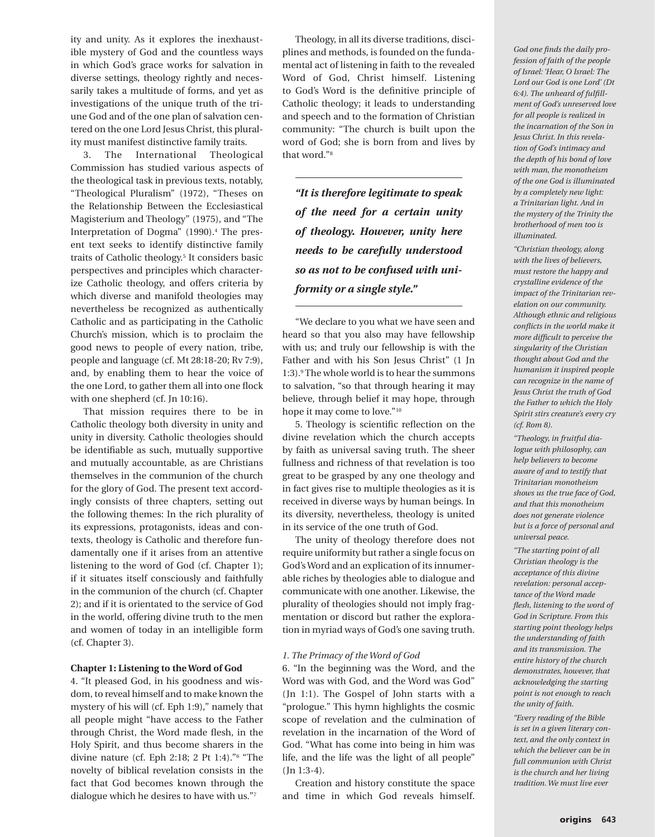ity and unity. As it explores the inexhaustible mystery of God and the countless ways in which God's grace works for salvation in diverse settings, theology rightly and necessarily takes a multitude of forms, and yet as investigations of the unique truth of the triune God and of the one plan of salvation centered on the one Lord Jesus Christ, this plurality must manifest distinctive family traits.

3. The International Theological Commission has studied various aspects of the theological task in previous texts, notably, "Theological Pluralism" (1972), "Theses on the Relationship Between the Ecclesiastical Magisterium and Theology" (1975), and "The Interpretation of Dogma" (1990).<sup>4</sup> The present text seeks to identify distinctive family traits of Catholic theology.<sup>5</sup> It considers basic perspectives and principles which characterize Catholic theology, and offers criteria by which diverse and manifold theologies may nevertheless be recognized as authentically Catholic and as participating in the Catholic Church's mission, which is to proclaim the good news to people of every nation, tribe, people and language (cf. Mt 28:18-20; Rv 7:9), and, by enabling them to hear the voice of the one Lord, to gather them all into one flock with one shepherd (cf. Jn 10:16).

That mission requires there to be in Catholic theology both diversity in unity and unity in diversity. Catholic theologies should be identifiable as such, mutually supportive and mutually accountable, as are Christians themselves in the communion of the church for the glory of God. The present text accordingly consists of three chapters, setting out the following themes: In the rich plurality of its expressions, protagonists, ideas and contexts, theology is Catholic and therefore fundamentally one if it arises from an attentive listening to the word of God (cf. Chapter 1); if it situates itself consciously and faithfully in the communion of the church (cf. Chapter 2); and if it is orientated to the service of God in the world, offering divine truth to the men and women of today in an intelligible form (cf. Chapter 3).

#### **Chapter 1: Listening to the Word of God**

4. "It pleased God, in his goodness and wisdom, to reveal himself and to make known the mystery of his will (cf. Eph 1:9)," namely that all people might "have access to the Father through Christ, the Word made flesh, in the Holy Spirit, and thus become sharers in the divine nature (cf. Eph 2:18; 2 Pt 1:4)."6 "The novelty of biblical revelation consists in the fact that God becomes known through the dialogue which he desires to have with us."7

Theology, in all its diverse traditions, disciplines and methods, is founded on the fundamental act of listening in faith to the revealed Word of God, Christ himself. Listening to God's Word is the definitive principle of Catholic theology; it leads to understanding and speech and to the formation of Christian community: "The church is built upon the word of God; she is born from and lives by that word."8

*"It is therefore legitimate to speak of the need for a certain unity of theology. However, unity here needs to be carefully understood so as not to be confused with uniformity or a single style."*

"We declare to you what we have seen and heard so that you also may have fellowship with us; and truly our fellowship is with the Father and with his Son Jesus Christ" (1 Jn 1:3).9 The whole world is to hear the summons to salvation, "so that through hearing it may believe, through belief it may hope, through hope it may come to love."10

5. Theology is scientific reflection on the divine revelation which the church accepts by faith as universal saving truth. The sheer fullness and richness of that revelation is too great to be grasped by any one theology and in fact gives rise to multiple theologies as it is received in diverse ways by human beings. In its diversity, nevertheless, theology is united in its service of the one truth of God.

The unity of theology therefore does not require uniformity but rather a single focus on God's Word and an explication of its innumerable riches by theologies able to dialogue and communicate with one another. Likewise, the plurality of theologies should not imply fragmentation or discord but rather the exploration in myriad ways of God's one saving truth.

#### *1. The Primacy of the Word of God*

6. "In the beginning was the Word, and the Word was with God, and the Word was God" (Jn 1:1). The Gospel of John starts with a "prologue." This hymn highlights the cosmic scope of revelation and the culmination of revelation in the incarnation of the Word of God. "What has come into being in him was life, and the life was the light of all people" (Jn 1:3-4).

Creation and history constitute the space and time in which God reveals himself.

*God one finds the daily profession of faith of the people of Israel: 'Hear, O Israel: The Lord our God is one Lord' (Dt 6:4). The unheard of fulfillment of God's unreserved love for all people is realized in the incarnation of the Son in Jesus Christ. In this revelation of God's intimacy and the depth of his bond of love with man, the monotheism of the one God is illuminated by a completely new light: a Trinitarian light. And in the mystery of the Trinity the brotherhood of men too is illuminated.*

*"Christian theology, along with the lives of believers, must restore the happy and crystalline evidence of the impact of the Trinitarian revelation on our community. Although ethnic and religious conflicts in the world make it more difficult to perceive the singularity of the Christian thought about God and the humanism it inspired people can recognize in the name of Jesus Christ the truth of God the Father to which the Holy Spirit stirs creature's every cry (cf. Rom 8).*

*"Theology, in fruitful dialogue with philosophy, can help believers to become aware of and to testify that Trinitarian monotheism shows us the true face of God, and that this monotheism does not generate violence but is a force of personal and universal peace.*

*"The starting point of all Christian theology is the acceptance of this divine revelation: personal acceptance of the Word made flesh, listening to the word of God in Scripture. From this starting point theology helps the understanding of faith and its transmission. The entire history of the church demonstrates, however, that acknowledging the starting point is not enough to reach the unity of faith.*

*"Every reading of the Bible is set in a given literary context, and the only context in which the believer can be in full communion with Christ is the church and her living tradition. We must live ever*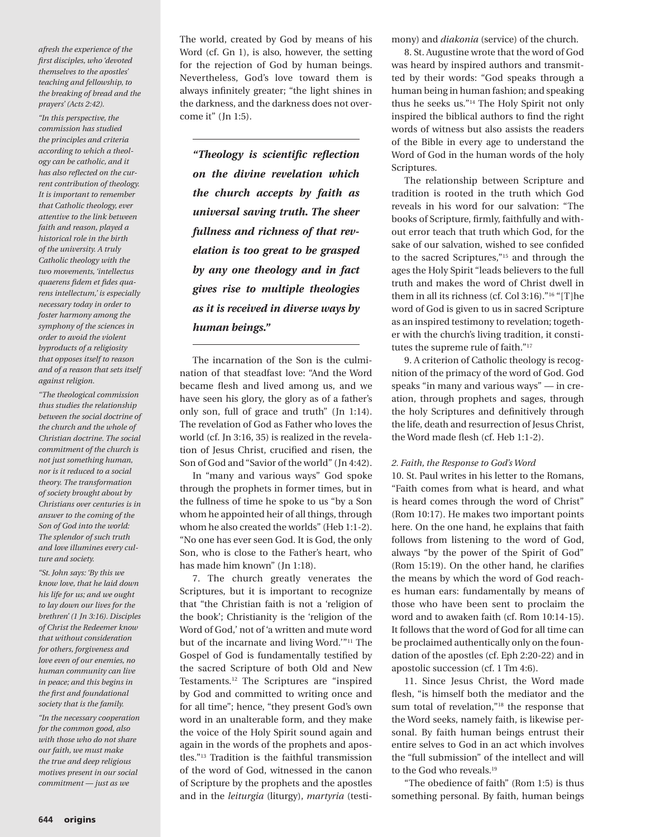*afresh the experience of the first disciples, who 'devoted themselves to the apostles' teaching and fellowship, to the breaking of bread and the prayers' (Acts 2:42).*

*"In this perspective, the commission has studied the principles and criteria according to which a theology can be catholic, and it has also reflected on the current contribution of theology. It is important to remember that Catholic theology, ever attentive to the link between faith and reason, played a historical role in the birth of the university. A truly Catholic theology with the two movements, 'intellectus quaerens fidem et fides quarens intellectum,' is especially necessary today in order to foster harmony among the symphony of the sciences in order to avoid the violent byproducts of a religiosity that opposes itself to reason and of a reason that sets itself against religion.*

*"The theological commission thus studies the relationship between the social doctrine of the church and the whole of Christian doctrine. The social commitment of the church is not just something human, nor is it reduced to a social theory. The transformation of society brought about by Christians over centuries is in answer to the coming of the Son of God into the world: The splendor of such truth and love illumines every culture and society.*

*"St. John says: 'By this we know love, that he laid down his life for us; and we ought to lay down our lives for the brethren' (1 Jn 3:16). Disciples of Christ the Redeemer know that without consideration for others, forgiveness and love even of our enemies, no human community can live in peace; and this begins in the first and foundational society that is the family.*

*"In the necessary cooperation for the common good, also with those who do not share our faith, we must make the true and deep religious motives present in our social commitment — just as we* 

The world, created by God by means of his Word (cf. Gn 1), is also, however, the setting for the rejection of God by human beings. Nevertheless, God's love toward them is always infinitely greater; "the light shines in the darkness, and the darkness does not overcome it" (Jn 1:5).

*"Theology is scientific reflection on the divine revelation which the church accepts by faith as universal saving truth. The sheer fullness and richness of that revelation is too great to be grasped by any one theology and in fact gives rise to multiple theologies as it is received in diverse ways by human beings."*

The incarnation of the Son is the culmination of that steadfast love: "And the Word became flesh and lived among us, and we have seen his glory, the glory as of a father's only son, full of grace and truth" (Jn 1:14). The revelation of God as Father who loves the world (cf. Jn 3:16, 35) is realized in the revelation of Jesus Christ, crucified and risen, the Son of God and "Savior of the world" (Jn 4:42).

In "many and various ways" God spoke through the prophets in former times, but in the fullness of time he spoke to us "by a Son whom he appointed heir of all things, through whom he also created the worlds" (Heb 1:1-2). "No one has ever seen God. It is God, the only Son, who is close to the Father's heart, who has made him known" (Jn 1:18).

7. The church greatly venerates the Scriptures, but it is important to recognize that "the Christian faith is not a 'religion of the book'; Christianity is the 'religion of the Word of God,' not of 'a written and mute word but of the incarnate and living Word.'"11 The Gospel of God is fundamentally testified by the sacred Scripture of both Old and New Testaments.12 The Scriptures are "inspired by God and committed to writing once and for all time"; hence, "they present God's own word in an unalterable form, and they make the voice of the Holy Spirit sound again and again in the words of the prophets and apostles."13 Tradition is the faithful transmission of the word of God, witnessed in the canon of Scripture by the prophets and the apostles and in the *leiturgia* (liturgy), *martyria* (testimony) and *diakonia* (service) of the church.

8. St. Augustine wrote that the word of God was heard by inspired authors and transmitted by their words: "God speaks through a human being in human fashion; and speaking thus he seeks us."14 The Holy Spirit not only inspired the biblical authors to find the right words of witness but also assists the readers of the Bible in every age to understand the Word of God in the human words of the holy Scriptures.

The relationship between Scripture and tradition is rooted in the truth which God reveals in his word for our salvation: "The books of Scripture, firmly, faithfully and without error teach that truth which God, for the sake of our salvation, wished to see confided to the sacred Scriptures,"15 and through the ages the Holy Spirit "leads believers to the full truth and makes the word of Christ dwell in them in all its richness (cf. Col 3:16)."16 "[T]he word of God is given to us in sacred Scripture as an inspired testimony to revelation; together with the church's living tradition, it constitutes the supreme rule of faith."17

9. A criterion of Catholic theology is recognition of the primacy of the word of God. God speaks "in many and various ways" — in creation, through prophets and sages, through the holy Scriptures and definitively through the life, death and resurrection of Jesus Christ, the Word made flesh (cf. Heb 1:1-2).

#### *2. Faith, the Response to God's Word*

10. St. Paul writes in his letter to the Romans, "Faith comes from what is heard, and what is heard comes through the word of Christ" (Rom 10:17). He makes two important points here. On the one hand, he explains that faith follows from listening to the word of God, always "by the power of the Spirit of God" (Rom 15:19). On the other hand, he clarifies the means by which the word of God reaches human ears: fundamentally by means of those who have been sent to proclaim the word and to awaken faith (cf. Rom 10:14-15). It follows that the word of God for all time can be proclaimed authentically only on the foundation of the apostles (cf. Eph 2:20-22) and in apostolic succession (cf. 1 Tm 4:6).

11. Since Jesus Christ, the Word made flesh, "is himself both the mediator and the sum total of revelation,"18 the response that the Word seeks, namely faith, is likewise personal. By faith human beings entrust their entire selves to God in an act which involves the "full submission" of the intellect and will to the God who reveals.19

"The obedience of faith" (Rom 1:5) is thus something personal. By faith, human beings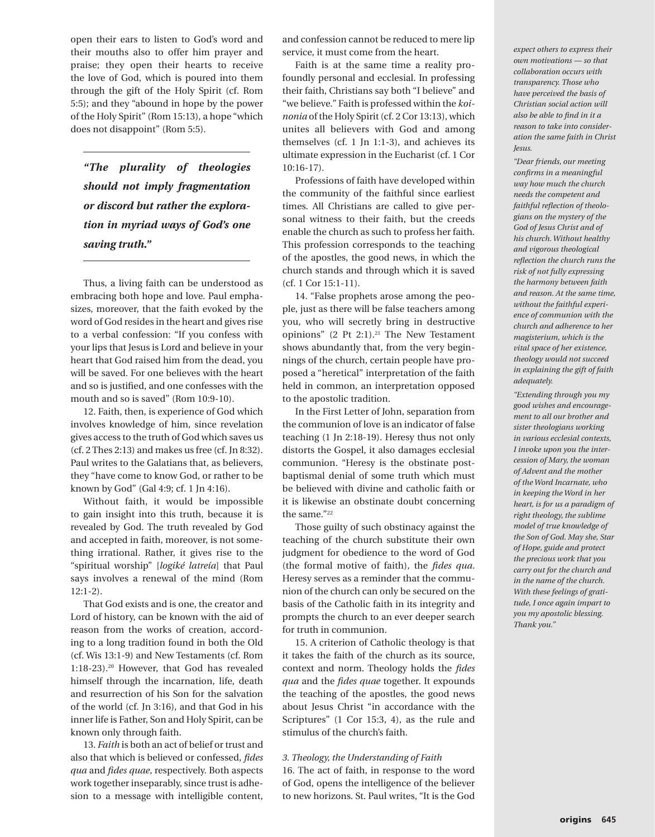open their ears to listen to God's word and their mouths also to offer him prayer and praise; they open their hearts to receive the love of God, which is poured into them through the gift of the Holy Spirit (cf. Rom 5:5); and they "abound in hope by the power of the Holy Spirit" (Rom 15:13), a hope "which does not disappoint" (Rom 5:5).

*"The plurality of theologies should not imply fragmentation or discord but rather the exploration in myriad ways of God's one saving truth."*

Thus, a living faith can be understood as embracing both hope and love. Paul emphasizes, moreover, that the faith evoked by the word of God resides in the heart and gives rise to a verbal confession: "If you confess with your lips that Jesus is Lord and believe in your heart that God raised him from the dead, you will be saved. For one believes with the heart and so is justified, and one confesses with the mouth and so is saved" (Rom 10:9-10).

12. Faith, then, is experience of God which involves knowledge of him, since revelation gives access to the truth of God which saves us (cf. 2 Thes 2:13) and makes us free (cf. Jn 8:32). Paul writes to the Galatians that, as believers, they "have come to know God, or rather to be known by God" (Gal 4:9; cf. 1 Jn 4:16).

Without faith, it would be impossible to gain insight into this truth, because it is revealed by God. The truth revealed by God and accepted in faith, moreover, is not something irrational. Rather, it gives rise to the "spiritual worship" [*logiké latreía*] that Paul says involves a renewal of the mind (Rom 12:1-2).

That God exists and is one, the creator and Lord of history, can be known with the aid of reason from the works of creation, according to a long tradition found in both the Old (cf. Wis 13:1-9) and New Testaments (cf. Rom 1:18-23).20 However, that God has revealed himself through the incarnation, life, death and resurrection of his Son for the salvation of the world (cf. Jn 3:16), and that God in his inner life is Father, Son and Holy Spirit, can be known only through faith.

13. *Faith* is both an act of belief or trust and also that which is believed or confessed, *fides qua* and *fides quae*, respectively. Both aspects work together inseparably, since trust is adhesion to a message with intelligible content, and confession cannot be reduced to mere lip service, it must come from the heart.

Faith is at the same time a reality profoundly personal and ecclesial. In professing their faith, Christians say both "I believe" and "we believe." Faith is professed within the *koinonia* of the Holy Spirit (cf. 2 Cor 13:13), which unites all believers with God and among themselves (cf. 1 Jn 1:1-3), and achieves its ultimate expression in the Eucharist (cf. 1 Cor 10:16-17).

Professions of faith have developed within the community of the faithful since earliest times. All Christians are called to give personal witness to their faith, but the creeds enable the church as such to profess her faith. This profession corresponds to the teaching of the apostles, the good news, in which the church stands and through which it is saved (cf. 1 Cor 15:1-11).

14. "False prophets arose among the people, just as there will be false teachers among you, who will secretly bring in destructive opinions" (2 Pt 2:1).<sup>21</sup> The New Testament shows abundantly that, from the very beginnings of the church, certain people have proposed a "heretical" interpretation of the faith held in common, an interpretation opposed to the apostolic tradition.

In the First Letter of John, separation from the communion of love is an indicator of false teaching (1 Jn 2:18-19). Heresy thus not only distorts the Gospel, it also damages ecclesial communion. "Heresy is the obstinate postbaptismal denial of some truth which must be believed with divine and catholic faith or it is likewise an obstinate doubt concerning the same."22

Those guilty of such obstinacy against the teaching of the church substitute their own judgment for obedience to the word of God (the formal motive of faith), the *fides qua*. Heresy serves as a reminder that the communion of the church can only be secured on the basis of the Catholic faith in its integrity and prompts the church to an ever deeper search for truth in communion.

15. A criterion of Catholic theology is that it takes the faith of the church as its source, context and norm. Theology holds the *fides qua* and the *fides quae* together. It expounds the teaching of the apostles, the good news about Jesus Christ "in accordance with the Scriptures" (1 Cor 15:3, 4), as the rule and stimulus of the church's faith.

#### *3. Theology, the Understanding of Faith*

16. The act of faith, in response to the word of God, opens the intelligence of the believer to new horizons. St. Paul writes, "It is the God

*expect others to express their own motivations — so that collaboration occurs with transparency. Those who have perceived the basis of Christian social action will also be able to find in it a reason to take into consideration the same faith in Christ Jesus.*

*"Dear friends, our meeting confirms in a meaningful way how much the church needs the competent and faithful reflection of theologians on the mystery of the God of Jesus Christ and of his church. Without healthy and vigorous theological reflection the church runs the risk of not fully expressing the harmony between faith and reason. At the same time, without the faithful experience of communion with the church and adherence to her magisterium, which is the vital space of her existence, theology would not succeed in explaining the gift of faith adequately.*

*"Extending through you my good wishes and encouragement to all our brother and sister theologians working in various ecclesial contexts, I invoke upon you the intercession of Mary, the woman of Advent and the mother of the Word Incarnate, who in keeping the Word in her heart, is for us a paradigm of right theology, the sublime model of true knowledge of the Son of God. May she, Star of Hope, guide and protect the precious work that you carry out for the church and in the name of the church. With these feelings of gratitude, I once again impart to you my apostolic blessing. Thank you."*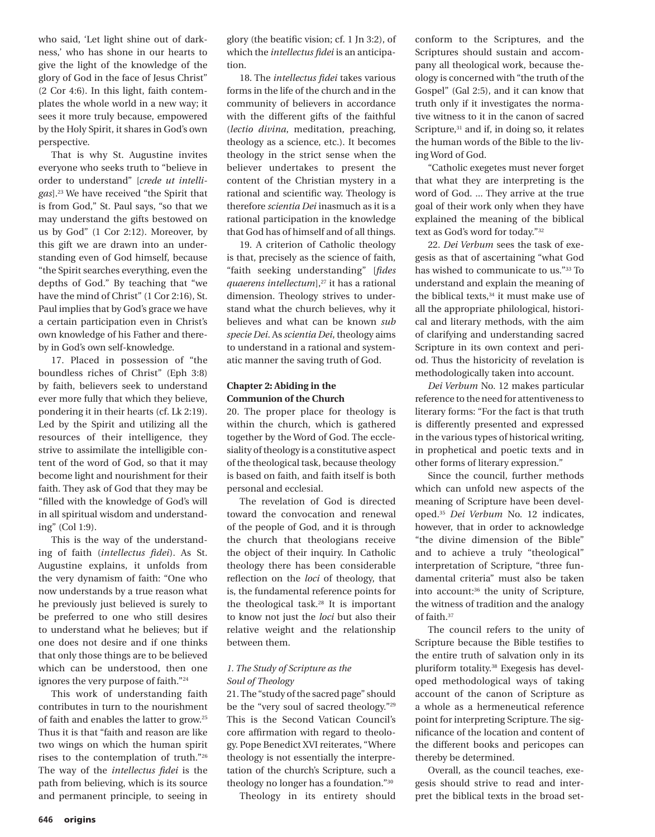who said, 'Let light shine out of darkness,' who has shone in our hearts to give the light of the knowledge of the glory of God in the face of Jesus Christ" (2 Cor 4:6). In this light, faith contemplates the whole world in a new way; it sees it more truly because, empowered by the Holy Spirit, it shares in God's own perspective.

That is why St. Augustine invites everyone who seeks truth to "believe in order to understand" [*crede ut intelligas*].23 We have received "the Spirit that is from God," St. Paul says, "so that we may understand the gifts bestowed on us by God" (1 Cor 2:12). Moreover, by this gift we are drawn into an understanding even of God himself, because "the Spirit searches everything, even the depths of God." By teaching that "we have the mind of Christ" (1 Cor 2:16), St. Paul implies that by God's grace we have a certain participation even in Christ's own knowledge of his Father and thereby in God's own self-knowledge.

17. Placed in possession of "the boundless riches of Christ" (Eph 3:8) by faith, believers seek to understand ever more fully that which they believe, pondering it in their hearts (cf. Lk 2:19). Led by the Spirit and utilizing all the resources of their intelligence, they strive to assimilate the intelligible content of the word of God, so that it may become light and nourishment for their faith. They ask of God that they may be "filled with the knowledge of God's will in all spiritual wisdom and understanding" (Col 1:9).

This is the way of the understanding of faith (*intellectus fidei*). As St. Augustine explains, it unfolds from the very dynamism of faith: "One who now understands by a true reason what he previously just believed is surely to be preferred to one who still desires to understand what he believes; but if one does not desire and if one thinks that only those things are to be believed which can be understood, then one ignores the very purpose of faith."24

This work of understanding faith contributes in turn to the nourishment of faith and enables the latter to grow.25 Thus it is that "faith and reason are like two wings on which the human spirit rises to the contemplation of truth."26 The way of the *intellectus fidei* is the path from believing, which is its source and permanent principle, to seeing in glory (the beatific vision; cf. 1 Jn 3:2), of which the *intellectus fidei* is an anticipation.

18. The *intellectus fidei* takes various forms in the life of the church and in the community of believers in accordance with the different gifts of the faithful (*lectio divina*, meditation, preaching, theology as a science, etc.). It becomes theology in the strict sense when the believer undertakes to present the content of the Christian mystery in a rational and scientific way. Theology is therefore *scientia Dei* inasmuch as it is a rational participation in the knowledge that God has of himself and of all things.

19. A criterion of Catholic theology is that, precisely as the science of faith, "faith seeking understanding" [*fides quaerens intellectum*],<sup>27</sup> it has a rational dimension. Theology strives to understand what the church believes, why it believes and what can be known *sub specie Dei*. As *scientia Dei*, theology aims to understand in a rational and systematic manner the saving truth of God.

#### **Chapter 2: Abiding in the Communion of the Church**

20. The proper place for theology is within the church, which is gathered together by the Word of God. The ecclesiality of theology is a constitutive aspect of the theological task, because theology is based on faith, and faith itself is both personal and ecclesial.

The revelation of God is directed toward the convocation and renewal of the people of God, and it is through the church that theologians receive the object of their inquiry. In Catholic theology there has been considerable reflection on the *loci* of theology, that is, the fundamental reference points for the theological task.28 It is important to know not just the *loci* but also their relative weight and the relationship between them.

#### *1. The Study of Scripture as the Soul of Theology*

21. The "study of the sacred page" should be the "very soul of sacred theology."29 This is the Second Vatican Council's core affirmation with regard to theology. Pope Benedict XVI reiterates, "Where theology is not essentially the interpretation of the church's Scripture, such a theology no longer has a foundation."30

Theology in its entirety should

conform to the Scriptures, and the Scriptures should sustain and accompany all theological work, because theology is concerned with "the truth of the Gospel" (Gal 2:5), and it can know that truth only if it investigates the normative witness to it in the canon of sacred Scripture,<sup>31</sup> and if, in doing so, it relates the human words of the Bible to the living Word of God.

"Catholic exegetes must never forget that what they are interpreting is the word of God. ... They arrive at the true goal of their work only when they have explained the meaning of the biblical text as God's word for today."32

22. *Dei Verbum* sees the task of exegesis as that of ascertaining "what God has wished to communicate to us."33 To understand and explain the meaning of the biblical texts,34 it must make use of all the appropriate philological, historical and literary methods, with the aim of clarifying and understanding sacred Scripture in its own context and period. Thus the historicity of revelation is methodologically taken into account.

*Dei Verbum* No. 12 makes particular reference to the need for attentiveness to literary forms: "For the fact is that truth is differently presented and expressed in the various types of historical writing, in prophetical and poetic texts and in other forms of literary expression."

Since the council, further methods which can unfold new aspects of the meaning of Scripture have been developed.35 *Dei Verbum* No. 12 indicates, however, that in order to acknowledge "the divine dimension of the Bible" and to achieve a truly "theological" interpretation of Scripture, "three fundamental criteria" must also be taken into account:36 the unity of Scripture, the witness of tradition and the analogy of faith.37

The council refers to the unity of Scripture because the Bible testifies to the entire truth of salvation only in its pluriform totality.38 Exegesis has developed methodological ways of taking account of the canon of Scripture as a whole as a hermeneutical reference point for interpreting Scripture. The significance of the location and content of the different books and pericopes can thereby be determined.

Overall, as the council teaches, exegesis should strive to read and interpret the biblical texts in the broad set-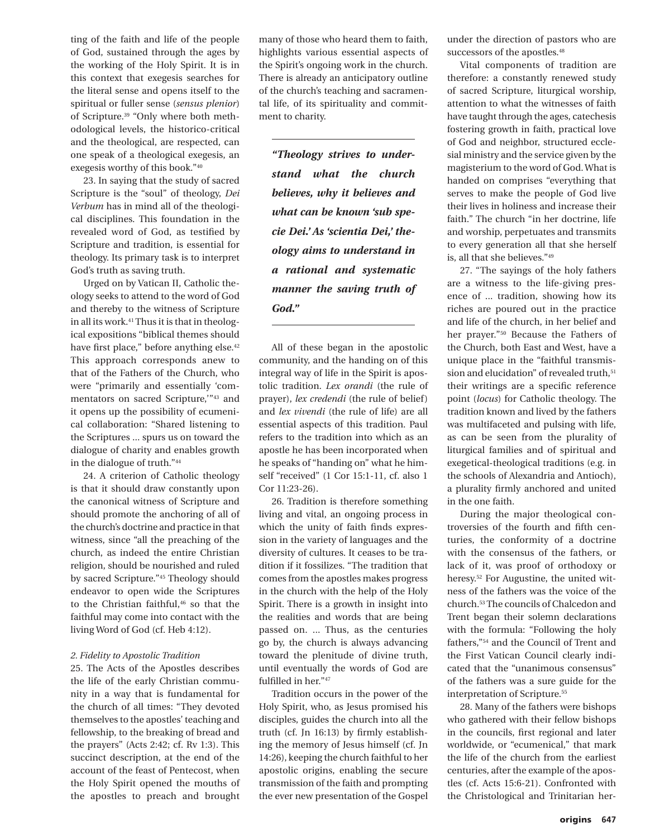ting of the faith and life of the people of God, sustained through the ages by the working of the Holy Spirit. It is in this context that exegesis searches for the literal sense and opens itself to the spiritual or fuller sense (*sensus plenior*) of Scripture.39 "Only where both methodological levels, the historico-critical and the theological, are respected, can one speak of a theological exegesis, an exegesis worthy of this book."40

23. In saying that the study of sacred Scripture is the "soul" of theology, *Dei Verbum* has in mind all of the theological disciplines. This foundation in the revealed word of God, as testified by Scripture and tradition, is essential for theology. Its primary task is to interpret God's truth as saving truth.

Urged on by Vatican II, Catholic theology seeks to attend to the word of God and thereby to the witness of Scripture in all its work.41 Thus it is that in theological expositions "biblical themes should have first place," before anything else.<sup>42</sup> This approach corresponds anew to that of the Fathers of the Church, who were "primarily and essentially 'commentators on sacred Scripture,'"43 and it opens up the possibility of ecumenical collaboration: "Shared listening to the Scriptures ... spurs us on toward the dialogue of charity and enables growth in the dialogue of truth."44

24. A criterion of Catholic theology is that it should draw constantly upon the canonical witness of Scripture and should promote the anchoring of all of the church's doctrine and practice in that witness, since "all the preaching of the church, as indeed the entire Christian religion, should be nourished and ruled by sacred Scripture."45 Theology should endeavor to open wide the Scriptures to the Christian faithful,46 so that the faithful may come into contact with the living Word of God (cf. Heb 4:12).

#### *2. Fidelity to Apostolic Tradition*

25. The Acts of the Apostles describes the life of the early Christian community in a way that is fundamental for the church of all times: "They devoted themselves to the apostles' teaching and fellowship, to the breaking of bread and the prayers" (Acts 2:42; cf. Rv 1:3). This succinct description, at the end of the account of the feast of Pentecost, when the Holy Spirit opened the mouths of the apostles to preach and brought

many of those who heard them to faith, highlights various essential aspects of the Spirit's ongoing work in the church. There is already an anticipatory outline of the church's teaching and sacramental life, of its spirituality and commitment to charity.

*"Theology strives to understand what the church believes, why it believes and what can be known 'sub specie Dei.' As 'scientia Dei,' theology aims to understand in a rational and systematic manner the saving truth of God."*

All of these began in the apostolic community, and the handing on of this integral way of life in the Spirit is apostolic tradition. *Lex orandi* (the rule of prayer), *lex credendi* (the rule of belief) and *lex vivendi* (the rule of life) are all essential aspects of this tradition. Paul refers to the tradition into which as an apostle he has been incorporated when he speaks of "handing on" what he himself "received" (1 Cor 15:1-11, cf. also 1 Cor 11:23-26).

26. Tradition is therefore something living and vital, an ongoing process in which the unity of faith finds expression in the variety of languages and the diversity of cultures. It ceases to be tradition if it fossilizes. "The tradition that comes from the apostles makes progress in the church with the help of the Holy Spirit. There is a growth in insight into the realities and words that are being passed on. ... Thus, as the centuries go by, the church is always advancing toward the plenitude of divine truth, until eventually the words of God are fulfilled in her."47

Tradition occurs in the power of the Holy Spirit, who, as Jesus promised his disciples, guides the church into all the truth (cf. Jn 16:13) by firmly establishing the memory of Jesus himself (cf. Jn 14:26), keeping the church faithful to her apostolic origins, enabling the secure transmission of the faith and prompting the ever new presentation of the Gospel

under the direction of pastors who are successors of the apostles.<sup>48</sup>

Vital components of tradition are therefore: a constantly renewed study of sacred Scripture, liturgical worship, attention to what the witnesses of faith have taught through the ages, catechesis fostering growth in faith, practical love of God and neighbor, structured ecclesial ministry and the service given by the magisterium to the word of God. What is handed on comprises "everything that serves to make the people of God live their lives in holiness and increase their faith." The church "in her doctrine, life and worship, perpetuates and transmits to every generation all that she herself is, all that she believes."49

27. "The sayings of the holy fathers are a witness to the life-giving presence of ... tradition, showing how its riches are poured out in the practice and life of the church, in her belief and her prayer."50 Because the Fathers of the Church, both East and West, have a unique place in the "faithful transmission and elucidation" of revealed truth, 51 their writings are a specific reference point (*locus*) for Catholic theology. The tradition known and lived by the fathers was multifaceted and pulsing with life, as can be seen from the plurality of liturgical families and of spiritual and exegetical-theological traditions (e.g. in the schools of Alexandria and Antioch), a plurality firmly anchored and united in the one faith.

During the major theological controversies of the fourth and fifth centuries, the conformity of a doctrine with the consensus of the fathers, or lack of it, was proof of orthodoxy or heresy.52 For Augustine, the united witness of the fathers was the voice of the church.53 The councils of Chalcedon and Trent began their solemn declarations with the formula: "Following the holy fathers,"54 and the Council of Trent and the First Vatican Council clearly indicated that the "unanimous consensus" of the fathers was a sure guide for the interpretation of Scripture.<sup>55</sup>

28. Many of the fathers were bishops who gathered with their fellow bishops in the councils, first regional and later worldwide, or "ecumenical," that mark the life of the church from the earliest centuries, after the example of the apostles (cf. Acts 15:6-21). Confronted with the Christological and Trinitarian her-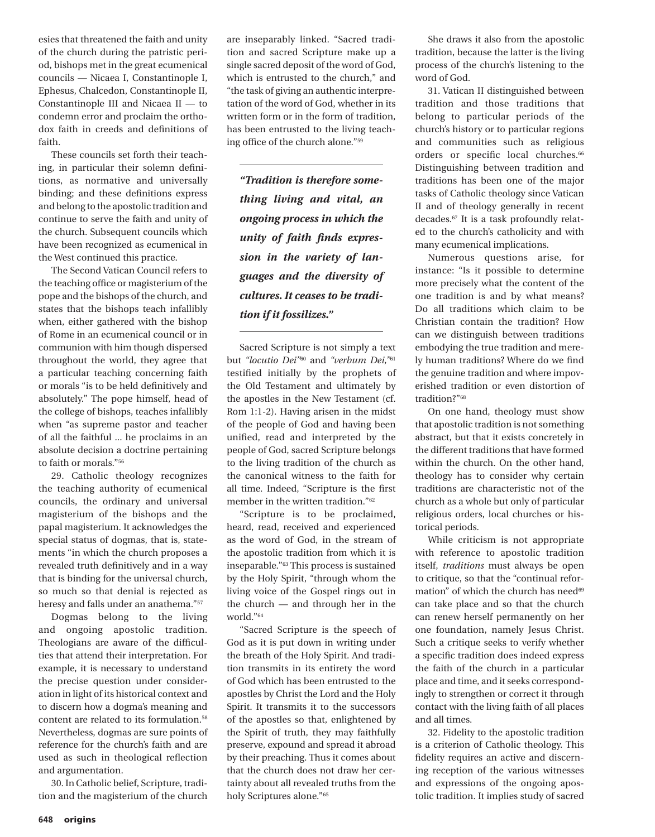esies that threatened the faith and unity of the church during the patristic period, bishops met in the great ecumenical councils — Nicaea I, Constantinople I, Ephesus, Chalcedon, Constantinople II, Constantinople III and Nicaea II — to condemn error and proclaim the orthodox faith in creeds and definitions of faith.

These councils set forth their teaching, in particular their solemn definitions, as normative and universally binding; and these definitions express and belong to the apostolic tradition and continue to serve the faith and unity of the church. Subsequent councils which have been recognized as ecumenical in the West continued this practice.

The Second Vatican Council refers to the teaching office or magisterium of the pope and the bishops of the church, and states that the bishops teach infallibly when, either gathered with the bishop of Rome in an ecumenical council or in communion with him though dispersed throughout the world, they agree that a particular teaching concerning faith or morals "is to be held definitively and absolutely." The pope himself, head of the college of bishops, teaches infallibly when "as supreme pastor and teacher of all the faithful ... he proclaims in an absolute decision a doctrine pertaining to faith or morals."56

29. Catholic theology recognizes the teaching authority of ecumenical councils, the ordinary and universal magisterium of the bishops and the papal magisterium. It acknowledges the special status of dogmas, that is, statements "in which the church proposes a revealed truth definitively and in a way that is binding for the universal church, so much so that denial is rejected as heresy and falls under an anathema."57

Dogmas belong to the living and ongoing apostolic tradition. Theologians are aware of the difficulties that attend their interpretation. For example, it is necessary to understand the precise question under consideration in light of its historical context and to discern how a dogma's meaning and content are related to its formulation.58 Nevertheless, dogmas are sure points of reference for the church's faith and are used as such in theological reflection and argumentation.

30. In Catholic belief, Scripture, tradition and the magisterium of the church are inseparably linked. "Sacred tradition and sacred Scripture make up a single sacred deposit of the word of God, which is entrusted to the church," and "the task of giving an authentic interpretation of the word of God, whether in its written form or in the form of tradition, has been entrusted to the living teaching office of the church alone."59

*"Tradition is therefore something living and vital, an ongoing process in which the unity of faith finds expression in the variety of languages and the diversity of cultures. It ceases to be tradition if it fossilizes."*

Sacred Scripture is not simply a text but *"locutio Dei"*60 and *"verbum Dei,"*<sup>61</sup> testified initially by the prophets of the Old Testament and ultimately by the apostles in the New Testament (cf. Rom 1:1-2). Having arisen in the midst of the people of God and having been unified, read and interpreted by the people of God, sacred Scripture belongs to the living tradition of the church as the canonical witness to the faith for all time. Indeed, "Scripture is the first member in the written tradition."62

"Scripture is to be proclaimed, heard, read, received and experienced as the word of God, in the stream of the apostolic tradition from which it is inseparable."63 This process is sustained by the Holy Spirit, "through whom the living voice of the Gospel rings out in the church — and through her in the world."64

"Sacred Scripture is the speech of God as it is put down in writing under the breath of the Holy Spirit. And tradition transmits in its entirety the word of God which has been entrusted to the apostles by Christ the Lord and the Holy Spirit. It transmits it to the successors of the apostles so that, enlightened by the Spirit of truth, they may faithfully preserve, expound and spread it abroad by their preaching. Thus it comes about that the church does not draw her certainty about all revealed truths from the holy Scriptures alone."65

She draws it also from the apostolic tradition, because the latter is the living process of the church's listening to the word of God.

31. Vatican II distinguished between tradition and those traditions that belong to particular periods of the church's history or to particular regions and communities such as religious orders or specific local churches.<sup>66</sup> Distinguishing between tradition and traditions has been one of the major tasks of Catholic theology since Vatican II and of theology generally in recent decades.67 It is a task profoundly related to the church's catholicity and with many ecumenical implications.

Numerous questions arise, for instance: "Is it possible to determine more precisely what the content of the one tradition is and by what means? Do all traditions which claim to be Christian contain the tradition? How can we distinguish between traditions embodying the true tradition and merely human traditions? Where do we find the genuine tradition and where impoverished tradition or even distortion of tradition?"68

On one hand, theology must show that apostolic tradition is not something abstract, but that it exists concretely in the different traditions that have formed within the church. On the other hand, theology has to consider why certain traditions are characteristic not of the church as a whole but only of particular religious orders, local churches or historical periods.

While criticism is not appropriate with reference to apostolic tradition itself, *traditions* must always be open to critique, so that the "continual reformation" of which the church has need<sup>69</sup> can take place and so that the church can renew herself permanently on her one foundation, namely Jesus Christ. Such a critique seeks to verify whether a specific tradition does indeed express the faith of the church in a particular place and time, and it seeks correspondingly to strengthen or correct it through contact with the living faith of all places and all times.

32. Fidelity to the apostolic tradition is a criterion of Catholic theology. This fidelity requires an active and discerning reception of the various witnesses and expressions of the ongoing apostolic tradition. It implies study of sacred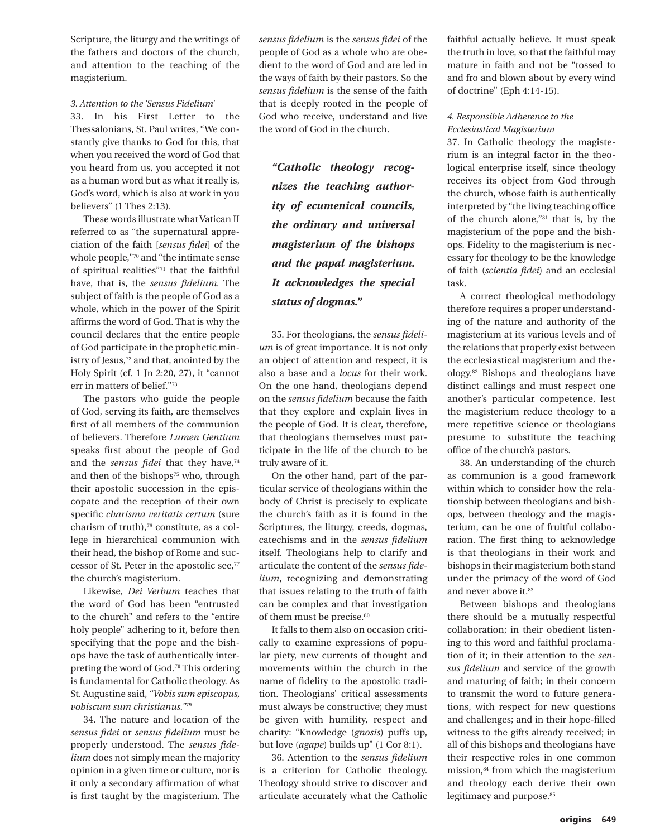Scripture, the liturgy and the writings of the fathers and doctors of the church, and attention to the teaching of the magisterium.

#### *3. Attention to the 'Sensus Fidelium'*

33. In his First Letter to the Thessalonians, St. Paul writes, "We constantly give thanks to God for this, that when you received the word of God that you heard from us, you accepted it not as a human word but as what it really is, God's word, which is also at work in you believers" (1 Thes 2:13).

These words illustrate what Vatican II referred to as "the supernatural appreciation of the faith [*sensus fidei*] of the whole people,"70 and "the intimate sense of spiritual realities"71 that the faithful have, that is, the *sensus fidelium.* The subject of faith is the people of God as a whole, which in the power of the Spirit affirms the word of God. That is why the council declares that the entire people of God participate in the prophetic ministry of Jesus,<sup>72</sup> and that, anointed by the Holy Spirit (cf. 1 Jn 2:20, 27), it "cannot err in matters of belief."73

The pastors who guide the people of God, serving its faith, are themselves first of all members of the communion of believers. Therefore *Lumen Gentium* speaks first about the people of God and the *sensus fidei* that they have,<sup>74</sup> and then of the bishops<sup>75</sup> who, through their apostolic succession in the episcopate and the reception of their own specific *charisma veritatis certum* (sure charism of truth),76 constitute, as a college in hierarchical communion with their head, the bishop of Rome and successor of St. Peter in the apostolic see,77 the church's magisterium.

Likewise, *Dei Verbum* teaches that the word of God has been "entrusted to the church" and refers to the "entire holy people" adhering to it, before then specifying that the pope and the bishops have the task of authentically interpreting the word of God.78 This ordering is fundamental for Catholic theology. As St. Augustine said, *"Vobis sum episcopus, vobiscum sum christianus."*<sup>79</sup>

34. The nature and location of the *sensus fidei* or *sensus fidelium* must be properly understood. The *sensus fidelium* does not simply mean the majority opinion in a given time or culture, nor is it only a secondary affirmation of what is first taught by the magisterium. The

*sensus fidelium* is the *sensus fidei* of the people of God as a whole who are obedient to the word of God and are led in the ways of faith by their pastors. So the *sensus fidelium* is the sense of the faith that is deeply rooted in the people of God who receive, understand and live the word of God in the church.

*"Catholic theology recognizes the teaching authority of ecumenical councils, the ordinary and universal magisterium of the bishops and the papal magisterium. It acknowledges the special status of dogmas."*

35. For theologians, the *sensus fidelium* is of great importance. It is not only an object of attention and respect, it is also a base and a *locus* for their work. On the one hand, theologians depend on the *sensus fidelium* because the faith that they explore and explain lives in the people of God. It is clear, therefore, that theologians themselves must participate in the life of the church to be truly aware of it.

On the other hand, part of the particular service of theologians within the body of Christ is precisely to explicate the church's faith as it is found in the Scriptures, the liturgy, creeds, dogmas, catechisms and in the *sensus fidelium* itself. Theologians help to clarify and articulate the content of the *sensus fidelium*, recognizing and demonstrating that issues relating to the truth of faith can be complex and that investigation of them must be precise.<sup>80</sup>

It falls to them also on occasion critically to examine expressions of popular piety, new currents of thought and movements within the church in the name of fidelity to the apostolic tradition. Theologians' critical assessments must always be constructive; they must be given with humility, respect and charity: "Knowledge (*gnosis*) puffs up, but love (*agape*) builds up" (1 Cor 8:1).

36. Attention to the *sensus fidelium* is a criterion for Catholic theology. Theology should strive to discover and articulate accurately what the Catholic

faithful actually believe. It must speak the truth in love, so that the faithful may mature in faith and not be "tossed to and fro and blown about by every wind of doctrine" (Eph 4:14-15).

#### *4. Responsible Adherence to the Ecclesiastical Magisterium*

37. In Catholic theology the magisterium is an integral factor in the theological enterprise itself, since theology receives its object from God through the church, whose faith is authentically interpreted by "the living teaching office of the church alone,"81 that is, by the magisterium of the pope and the bishops. Fidelity to the magisterium is necessary for theology to be the knowledge of faith (*scientia fidei*) and an ecclesial task.

A correct theological methodology therefore requires a proper understanding of the nature and authority of the magisterium at its various levels and of the relations that properly exist between the ecclesiastical magisterium and theology.82 Bishops and theologians have distinct callings and must respect one another's particular competence, lest the magisterium reduce theology to a mere repetitive science or theologians presume to substitute the teaching office of the church's pastors.

38. An understanding of the church as communion is a good framework within which to consider how the relationship between theologians and bishops, between theology and the magisterium, can be one of fruitful collaboration. The first thing to acknowledge is that theologians in their work and bishops in their magisterium both stand under the primacy of the word of God and never above it.<sup>83</sup>

Between bishops and theologians there should be a mutually respectful collaboration; in their obedient listening to this word and faithful proclamation of it; in their attention to the *sensus fidelium* and service of the growth and maturing of faith; in their concern to transmit the word to future generations, with respect for new questions and challenges; and in their hope-filled witness to the gifts already received; in all of this bishops and theologians have their respective roles in one common mission,<sup>84</sup> from which the magisterium and theology each derive their own legitimacy and purpose.<sup>85</sup>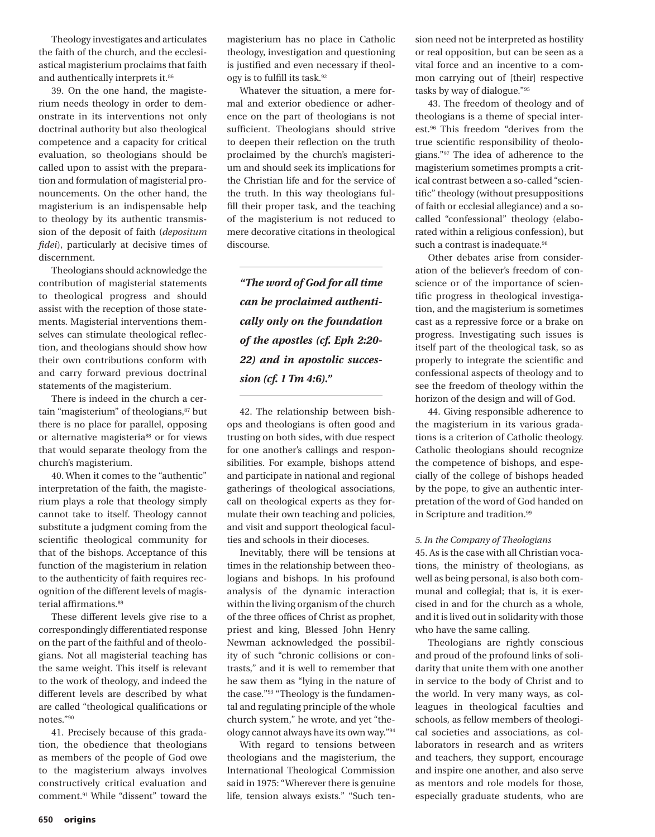Theology investigates and articulates the faith of the church, and the ecclesiastical magisterium proclaims that faith and authentically interprets it.86

39. On the one hand, the magisterium needs theology in order to demonstrate in its interventions not only doctrinal authority but also theological competence and a capacity for critical evaluation, so theologians should be called upon to assist with the preparation and formulation of magisterial pronouncements. On the other hand, the magisterium is an indispensable help to theology by its authentic transmission of the deposit of faith (*depositum fidei*), particularly at decisive times of discernment.

Theologians should acknowledge the contribution of magisterial statements to theological progress and should assist with the reception of those statements. Magisterial interventions themselves can stimulate theological reflection, and theologians should show how their own contributions conform with and carry forward previous doctrinal statements of the magisterium.

There is indeed in the church a certain "magisterium" of theologians,<sup>87</sup> but there is no place for parallel, opposing or alternative magisteria<sup>88</sup> or for views that would separate theology from the church's magisterium.

40. When it comes to the "authentic" interpretation of the faith, the magisterium plays a role that theology simply cannot take to itself. Theology cannot substitute a judgment coming from the scientific theological community for that of the bishops. Acceptance of this function of the magisterium in relation to the authenticity of faith requires recognition of the different levels of magisterial affirmations.<sup>89</sup>

These different levels give rise to a correspondingly differentiated response on the part of the faithful and of theologians. Not all magisterial teaching has the same weight. This itself is relevant to the work of theology, and indeed the different levels are described by what are called "theological qualifications or notes."90

41. Precisely because of this gradation, the obedience that theologians as members of the people of God owe to the magisterium always involves constructively critical evaluation and comment.91 While "dissent" toward the magisterium has no place in Catholic theology, investigation and questioning is justified and even necessary if theology is to fulfill its task.92

Whatever the situation, a mere formal and exterior obedience or adherence on the part of theologians is not sufficient. Theologians should strive to deepen their reflection on the truth proclaimed by the church's magisterium and should seek its implications for the Christian life and for the service of the truth. In this way theologians fulfill their proper task, and the teaching of the magisterium is not reduced to mere decorative citations in theological discourse.

*"The word of God for all time can be proclaimed authentically only on the foundation of the apostles (cf. Eph 2:20- 22) and in apostolic succession (cf. 1 Tm 4:6)."*

42. The relationship between bishops and theologians is often good and trusting on both sides, with due respect for one another's callings and responsibilities. For example, bishops attend and participate in national and regional gatherings of theological associations, call on theological experts as they formulate their own teaching and policies, and visit and support theological faculties and schools in their dioceses.

Inevitably, there will be tensions at times in the relationship between theologians and bishops. In his profound analysis of the dynamic interaction within the living organism of the church of the three offices of Christ as prophet, priest and king, Blessed John Henry Newman acknowledged the possibility of such "chronic collisions or contrasts," and it is well to remember that he saw them as "lying in the nature of the case."93 "Theology is the fundamental and regulating principle of the whole church system," he wrote, and yet "theology cannot always have its own way."94

With regard to tensions between theologians and the magisterium, the International Theological Commission said in 1975: "Wherever there is genuine life, tension always exists." "Such tension need not be interpreted as hostility or real opposition, but can be seen as a vital force and an incentive to a common carrying out of [their] respective tasks by way of dialogue."95

43. The freedom of theology and of theologians is a theme of special interest.96 This freedom "derives from the true scientific responsibility of theologians."97 The idea of adherence to the magisterium sometimes prompts a critical contrast between a so-called "scientific" theology (without presuppositions of faith or ecclesial allegiance) and a socalled "confessional" theology (elaborated within a religious confession), but such a contrast is inadequate.<sup>98</sup>

Other debates arise from consideration of the believer's freedom of conscience or of the importance of scientific progress in theological investigation, and the magisterium is sometimes cast as a repressive force or a brake on progress. Investigating such issues is itself part of the theological task, so as properly to integrate the scientific and confessional aspects of theology and to see the freedom of theology within the horizon of the design and will of God.

44. Giving responsible adherence to the magisterium in its various gradations is a criterion of Catholic theology. Catholic theologians should recognize the competence of bishops, and especially of the college of bishops headed by the pope, to give an authentic interpretation of the word of God handed on in Scripture and tradition.99

#### *5. In the Company of Theologians*

45. As is the case with all Christian vocations, the ministry of theologians, as well as being personal, is also both communal and collegial; that is, it is exercised in and for the church as a whole, and it is lived out in solidarity with those who have the same calling.

Theologians are rightly conscious and proud of the profound links of solidarity that unite them with one another in service to the body of Christ and to the world. In very many ways, as colleagues in theological faculties and schools, as fellow members of theological societies and associations, as collaborators in research and as writers and teachers, they support, encourage and inspire one another, and also serve as mentors and role models for those, especially graduate students, who are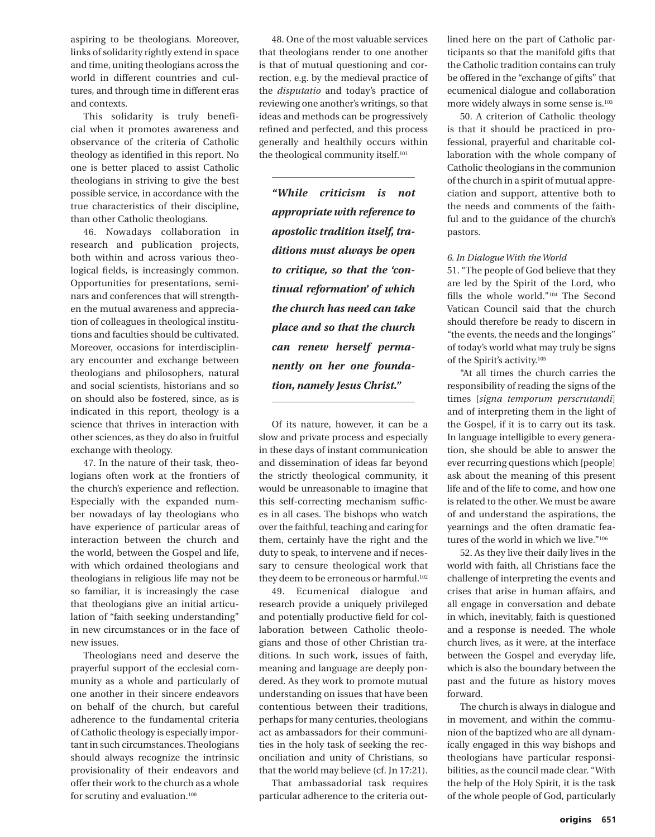aspiring to be theologians. Moreover, links of solidarity rightly extend in space and time, uniting theologians across the world in different countries and cultures, and through time in different eras and contexts.

This solidarity is truly beneficial when it promotes awareness and observance of the criteria of Catholic theology as identified in this report. No one is better placed to assist Catholic theologians in striving to give the best possible service, in accordance with the true characteristics of their discipline, than other Catholic theologians.

46. Nowadays collaboration in research and publication projects, both within and across various theological fields, is increasingly common. Opportunities for presentations, seminars and conferences that will strengthen the mutual awareness and appreciation of colleagues in theological institutions and faculties should be cultivated. Moreover, occasions for interdisciplinary encounter and exchange between theologians and philosophers, natural and social scientists, historians and so on should also be fostered, since, as is indicated in this report, theology is a science that thrives in interaction with other sciences, as they do also in fruitful exchange with theology.

47. In the nature of their task, theologians often work at the frontiers of the church's experience and reflection. Especially with the expanded number nowadays of lay theologians who have experience of particular areas of interaction between the church and the world, between the Gospel and life, with which ordained theologians and theologians in religious life may not be so familiar, it is increasingly the case that theologians give an initial articulation of "faith seeking understanding" in new circumstances or in the face of new issues.

Theologians need and deserve the prayerful support of the ecclesial community as a whole and particularly of one another in their sincere endeavors on behalf of the church, but careful adherence to the fundamental criteria of Catholic theology is especially important in such circumstances. Theologians should always recognize the intrinsic provisionality of their endeavors and offer their work to the church as a whole for scrutiny and evaluation.100

48. One of the most valuable services that theologians render to one another is that of mutual questioning and correction, e.g. by the medieval practice of the *disputatio* and today's practice of reviewing one another's writings, so that ideas and methods can be progressively refined and perfected, and this process generally and healthily occurs within the theological community itself.<sup>101</sup>

*"While criticism is not appropriate with reference to apostolic tradition itself, traditions must always be open to critique, so that the 'continual reformation' of which the church has need can take place and so that the church can renew herself permanently on her one foundation, namely Jesus Christ."*

Of its nature, however, it can be a slow and private process and especially in these days of instant communication and dissemination of ideas far beyond the strictly theological community, it would be unreasonable to imagine that this self-correcting mechanism suffices in all cases. The bishops who watch over the faithful, teaching and caring for them, certainly have the right and the duty to speak, to intervene and if necessary to censure theological work that they deem to be erroneous or harmful.<sup>102</sup>

49. Ecumenical dialogue and research provide a uniquely privileged and potentially productive field for collaboration between Catholic theologians and those of other Christian traditions. In such work, issues of faith, meaning and language are deeply pondered. As they work to promote mutual understanding on issues that have been contentious between their traditions, perhaps for many centuries, theologians act as ambassadors for their communities in the holy task of seeking the reconciliation and unity of Christians, so that the world may believe (cf. Jn 17:21).

That ambassadorial task requires particular adherence to the criteria outlined here on the part of Catholic participants so that the manifold gifts that the Catholic tradition contains can truly be offered in the "exchange of gifts" that ecumenical dialogue and collaboration more widely always in some sense is.103

50. A criterion of Catholic theology is that it should be practiced in professional, prayerful and charitable collaboration with the whole company of Catholic theologians in the communion of the church in a spirit of mutual appreciation and support, attentive both to the needs and comments of the faithful and to the guidance of the church's pastors.

#### *6. In Dialogue With the World*

51. "The people of God believe that they are led by the Spirit of the Lord, who fills the whole world."104 The Second Vatican Council said that the church should therefore be ready to discern in "the events, the needs and the longings" of today's world what may truly be signs of the Spirit's activity.105

"At all times the church carries the responsibility of reading the signs of the times [*signa temporum perscrutandi*] and of interpreting them in the light of the Gospel, if it is to carry out its task. In language intelligible to every generation, she should be able to answer the ever recurring questions which [people] ask about the meaning of this present life and of the life to come, and how one is related to the other. We must be aware of and understand the aspirations, the yearnings and the often dramatic features of the world in which we live."106

52. As they live their daily lives in the world with faith, all Christians face the challenge of interpreting the events and crises that arise in human affairs, and all engage in conversation and debate in which, inevitably, faith is questioned and a response is needed. The whole church lives, as it were, at the interface between the Gospel and everyday life, which is also the boundary between the past and the future as history moves forward.

The church is always in dialogue and in movement, and within the communion of the baptized who are all dynamically engaged in this way bishops and theologians have particular responsibilities, as the council made clear. "With the help of the Holy Spirit, it is the task of the whole people of God, particularly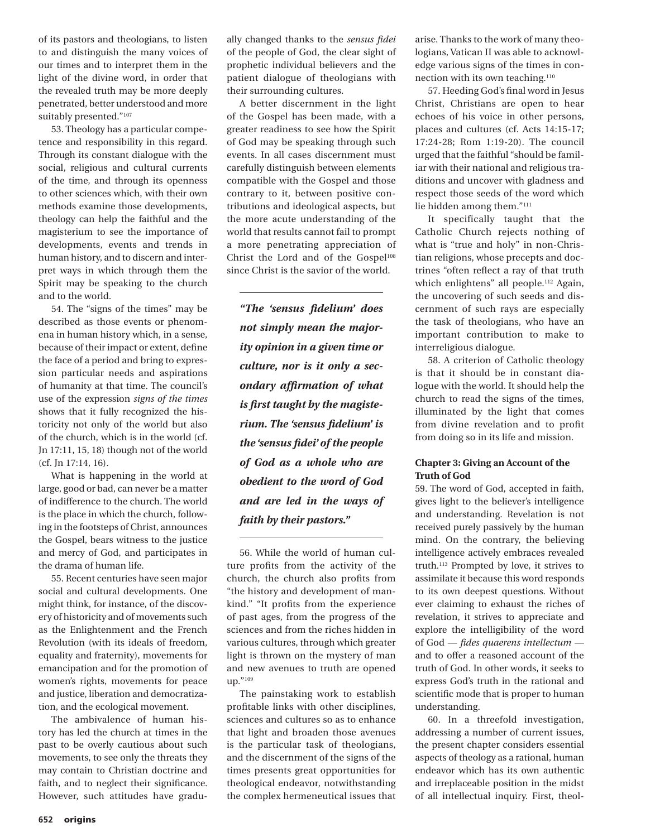of its pastors and theologians, to listen to and distinguish the many voices of our times and to interpret them in the light of the divine word, in order that the revealed truth may be more deeply penetrated, better understood and more suitably presented."<sup>107</sup>

53. Theology has a particular competence and responsibility in this regard. Through its constant dialogue with the social, religious and cultural currents of the time, and through its openness to other sciences which, with their own methods examine those developments, theology can help the faithful and the magisterium to see the importance of developments, events and trends in human history, and to discern and interpret ways in which through them the Spirit may be speaking to the church and to the world.

54. The "signs of the times" may be described as those events or phenomena in human history which, in a sense, because of their impact or extent, define the face of a period and bring to expression particular needs and aspirations of humanity at that time. The council's use of the expression *signs of the times* shows that it fully recognized the historicity not only of the world but also of the church, which is in the world (cf. Jn 17:11, 15, 18) though not of the world (cf. Jn 17:14, 16).

What is happening in the world at large, good or bad, can never be a matter of indifference to the church. The world is the place in which the church, following in the footsteps of Christ, announces the Gospel, bears witness to the justice and mercy of God, and participates in the drama of human life.

55. Recent centuries have seen major social and cultural developments. One might think, for instance, of the discovery of historicity and of movements such as the Enlightenment and the French Revolution (with its ideals of freedom, equality and fraternity), movements for emancipation and for the promotion of women's rights, movements for peace and justice, liberation and democratization, and the ecological movement.

The ambivalence of human history has led the church at times in the past to be overly cautious about such movements, to see only the threats they may contain to Christian doctrine and faith, and to neglect their significance. However, such attitudes have gradually changed thanks to the *sensus fidei* of the people of God, the clear sight of prophetic individual believers and the patient dialogue of theologians with their surrounding cultures.

A better discernment in the light of the Gospel has been made, with a greater readiness to see how the Spirit of God may be speaking through such events. In all cases discernment must carefully distinguish between elements compatible with the Gospel and those contrary to it, between positive contributions and ideological aspects, but the more acute understanding of the world that results cannot fail to prompt a more penetrating appreciation of Christ the Lord and of the Gospel<sup>108</sup> since Christ is the savior of the world.

*"The 'sensus fidelium' does not simply mean the majority opinion in a given time or culture, nor is it only a secondary affirmation of what is first taught by the magisterium. The 'sensus fidelium' is the 'sensus fidei' of the people of God as a whole who are obedient to the word of God and are led in the ways of faith by their pastors."*

56. While the world of human culture profits from the activity of the church, the church also profits from "the history and development of mankind." "It profits from the experience of past ages, from the progress of the sciences and from the riches hidden in various cultures, through which greater light is thrown on the mystery of man and new avenues to truth are opened up."109

The painstaking work to establish profitable links with other disciplines, sciences and cultures so as to enhance that light and broaden those avenues is the particular task of theologians, and the discernment of the signs of the times presents great opportunities for theological endeavor, notwithstanding the complex hermeneutical issues that arise. Thanks to the work of many theologians, Vatican II was able to acknowledge various signs of the times in connection with its own teaching.110

57. Heeding God's final word in Jesus Christ, Christians are open to hear echoes of his voice in other persons, places and cultures (cf. Acts 14:15-17; 17:24-28; Rom 1:19-20). The council urged that the faithful "should be familiar with their national and religious traditions and uncover with gladness and respect those seeds of the word which lie hidden among them."111

It specifically taught that the Catholic Church rejects nothing of what is "true and holy" in non-Christian religions, whose precepts and doctrines "often reflect a ray of that truth which enlightens" all people.<sup>112</sup> Again, the uncovering of such seeds and discernment of such rays are especially the task of theologians, who have an important contribution to make to interreligious dialogue.

58. A criterion of Catholic theology is that it should be in constant dialogue with the world. It should help the church to read the signs of the times, illuminated by the light that comes from divine revelation and to profit from doing so in its life and mission.

#### **Chapter 3: Giving an Account of the Truth of God**

59. The word of God, accepted in faith, gives light to the believer's intelligence and understanding. Revelation is not received purely passively by the human mind. On the contrary, the believing intelligence actively embraces revealed truth.113 Prompted by love, it strives to assimilate it because this word responds to its own deepest questions. Without ever claiming to exhaust the riches of revelation, it strives to appreciate and explore the intelligibility of the word of God — *fides quaerens intellectum* and to offer a reasoned account of the truth of God. In other words, it seeks to express God's truth in the rational and scientific mode that is proper to human understanding.

60. In a threefold investigation, addressing a number of current issues, the present chapter considers essential aspects of theology as a rational, human endeavor which has its own authentic and irreplaceable position in the midst of all intellectual inquiry. First, theol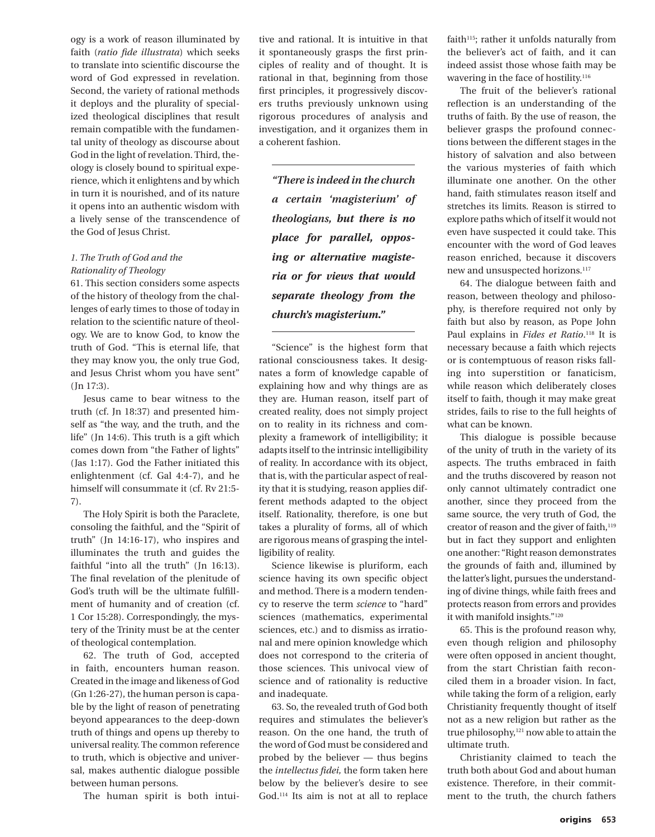ogy is a work of reason illuminated by faith (*ratio fide illustrata*) which seeks to translate into scientific discourse the word of God expressed in revelation. Second, the variety of rational methods it deploys and the plurality of specialized theological disciplines that result remain compatible with the fundamental unity of theology as discourse about God in the light of revelation. Third, theology is closely bound to spiritual experience, which it enlightens and by which in turn it is nourished, and of its nature it opens into an authentic wisdom with a lively sense of the transcendence of the God of Jesus Christ.

### *1. The Truth of God and the Rationality of Theology*

61. This section considers some aspects of the history of theology from the challenges of early times to those of today in relation to the scientific nature of theology. We are to know God, to know the truth of God. "This is eternal life, that they may know you, the only true God, and Jesus Christ whom you have sent" (Jn 17:3).

Jesus came to bear witness to the truth (cf. Jn 18:37) and presented himself as "the way, and the truth, and the life" (Jn 14:6). This truth is a gift which comes down from "the Father of lights" (Jas 1:17). God the Father initiated this enlightenment (cf. Gal 4:4-7), and he himself will consummate it (cf. Rv 21:5- 7).

The Holy Spirit is both the Paraclete, consoling the faithful, and the "Spirit of truth" (Jn 14:16-17), who inspires and illuminates the truth and guides the faithful "into all the truth" (Jn 16:13). The final revelation of the plenitude of God's truth will be the ultimate fulfillment of humanity and of creation (cf. 1 Cor 15:28). Correspondingly, the mystery of the Trinity must be at the center of theological contemplation.

62. The truth of God, accepted in faith, encounters human reason. Created in the image and likeness of God (Gn 1:26-27), the human person is capable by the light of reason of penetrating beyond appearances to the deep-down truth of things and opens up thereby to universal reality. The common reference to truth, which is objective and universal, makes authentic dialogue possible between human persons.

The human spirit is both intui-

tive and rational. It is intuitive in that it spontaneously grasps the first principles of reality and of thought. It is rational in that, beginning from those first principles, it progressively discovers truths previously unknown using rigorous procedures of analysis and investigation, and it organizes them in a coherent fashion.

*"There is indeed in the church a certain 'magisterium' of theologians, but there is no place for parallel, opposing or alternative magisteria or for views that would separate theology from the church's magisterium."*

"Science" is the highest form that rational consciousness takes. It designates a form of knowledge capable of explaining how and why things are as they are. Human reason, itself part of created reality, does not simply project on to reality in its richness and complexity a framework of intelligibility; it adapts itself to the intrinsic intelligibility of reality. In accordance with its object, that is, with the particular aspect of reality that it is studying, reason applies different methods adapted to the object itself. Rationality, therefore, is one but takes a plurality of forms, all of which are rigorous means of grasping the intelligibility of reality.

Science likewise is pluriform, each science having its own specific object and method. There is a modern tendency to reserve the term *science* to "hard" sciences (mathematics, experimental sciences, etc.) and to dismiss as irrational and mere opinion knowledge which does not correspond to the criteria of those sciences. This univocal view of science and of rationality is reductive and inadequate.

63. So, the revealed truth of God both requires and stimulates the believer's reason. On the one hand, the truth of the word of God must be considered and probed by the believer — thus begins the *intellectus fidei,* the form taken here below by the believer's desire to see God.114 Its aim is not at all to replace

faith $115$ ; rather it unfolds naturally from the believer's act of faith, and it can indeed assist those whose faith may be wavering in the face of hostility.<sup>116</sup>

The fruit of the believer's rational reflection is an understanding of the truths of faith. By the use of reason, the believer grasps the profound connections between the different stages in the history of salvation and also between the various mysteries of faith which illuminate one another. On the other hand, faith stimulates reason itself and stretches its limits. Reason is stirred to explore paths which of itself it would not even have suspected it could take. This encounter with the word of God leaves reason enriched, because it discovers new and unsuspected horizons.<sup>117</sup>

64. The dialogue between faith and reason, between theology and philosophy, is therefore required not only by faith but also by reason, as Pope John Paul explains in *Fides et Ratio*. 118 It is necessary because a faith which rejects or is contemptuous of reason risks falling into superstition or fanaticism, while reason which deliberately closes itself to faith, though it may make great strides, fails to rise to the full heights of what can be known.

This dialogue is possible because of the unity of truth in the variety of its aspects. The truths embraced in faith and the truths discovered by reason not only cannot ultimately contradict one another, since they proceed from the same source, the very truth of God, the creator of reason and the giver of faith,<sup>119</sup> but in fact they support and enlighten one another: "Right reason demonstrates the grounds of faith and, illumined by the latter's light, pursues the understanding of divine things, while faith frees and protects reason from errors and provides it with manifold insights."120

65. This is the profound reason why, even though religion and philosophy were often opposed in ancient thought, from the start Christian faith reconciled them in a broader vision. In fact, while taking the form of a religion, early Christianity frequently thought of itself not as a new religion but rather as the true philosophy,121 now able to attain the ultimate truth.

Christianity claimed to teach the truth both about God and about human existence. Therefore, in their commitment to the truth, the church fathers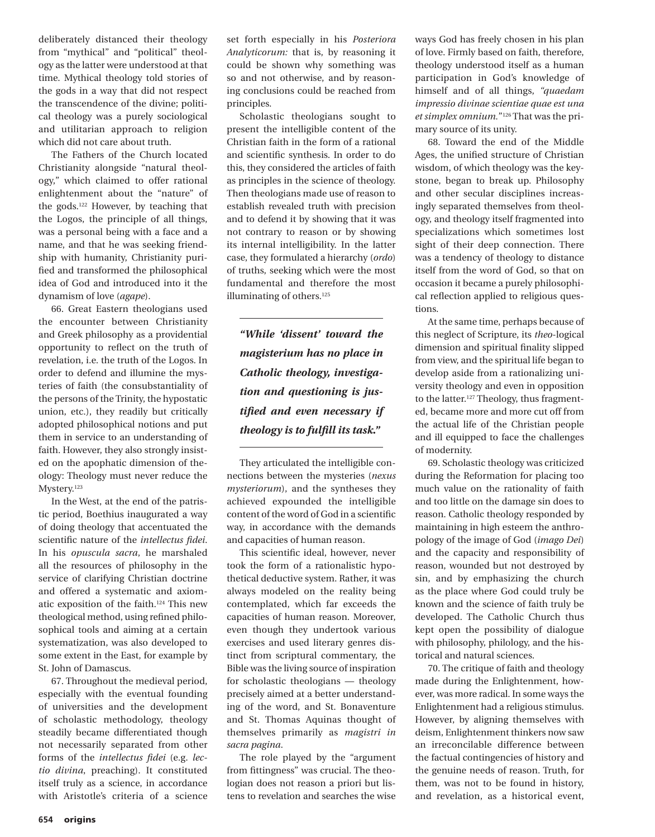deliberately distanced their theology from "mythical" and "political" theology as the latter were understood at that time. Mythical theology told stories of the gods in a way that did not respect the transcendence of the divine; political theology was a purely sociological and utilitarian approach to religion which did not care about truth.

The Fathers of the Church located Christianity alongside "natural theology," which claimed to offer rational enlightenment about the "nature" of the gods.122 However, by teaching that the Logos, the principle of all things, was a personal being with a face and a name, and that he was seeking friendship with humanity, Christianity purified and transformed the philosophical idea of God and introduced into it the dynamism of love (*agape*).

66. Great Eastern theologians used the encounter between Christianity and Greek philosophy as a providential opportunity to reflect on the truth of revelation, i.e. the truth of the Logos. In order to defend and illumine the mysteries of faith (the consubstantiality of the persons of the Trinity, the hypostatic union, etc.), they readily but critically adopted philosophical notions and put them in service to an understanding of faith. However, they also strongly insisted on the apophatic dimension of theology: Theology must never reduce the Mystery.<sup>123</sup>

In the West, at the end of the patristic period, Boethius inaugurated a way of doing theology that accentuated the scientific nature of the *intellectus fidei*. In his *opuscula sacra*, he marshaled all the resources of philosophy in the service of clarifying Christian doctrine and offered a systematic and axiomatic exposition of the faith.124 This new theological method, using refined philosophical tools and aiming at a certain systematization, was also developed to some extent in the East, for example by St. John of Damascus.

67. Throughout the medieval period, especially with the eventual founding of universities and the development of scholastic methodology, theology steadily became differentiated though not necessarily separated from other forms of the *intellectus fidei* (e.g. *lectio divina*, preaching). It constituted itself truly as a science, in accordance with Aristotle's criteria of a science

set forth especially in his *Posteriora Analyticorum:* that is, by reasoning it could be shown why something was so and not otherwise, and by reasoning conclusions could be reached from principles.

Scholastic theologians sought to present the intelligible content of the Christian faith in the form of a rational and scientific synthesis. In order to do this, they considered the articles of faith as principles in the science of theology. Then theologians made use of reason to establish revealed truth with precision and to defend it by showing that it was not contrary to reason or by showing its internal intelligibility. In the latter case, they formulated a hierarchy (*ordo*) of truths, seeking which were the most fundamental and therefore the most illuminating of others.125

*"While 'dissent' toward the magisterium has no place in Catholic theology, investigation and questioning is justified and even necessary if theology is to fulfill its task."*

They articulated the intelligible connections between the mysteries (*nexus mysteriorum*), and the syntheses they achieved expounded the intelligible content of the word of God in a scientific way, in accordance with the demands and capacities of human reason.

This scientific ideal, however, never took the form of a rationalistic hypothetical deductive system. Rather, it was always modeled on the reality being contemplated, which far exceeds the capacities of human reason. Moreover, even though they undertook various exercises and used literary genres distinct from scriptural commentary, the Bible was the living source of inspiration for scholastic theologians — theology precisely aimed at a better understanding of the word, and St. Bonaventure and St. Thomas Aquinas thought of themselves primarily as *magistri in sacra pagina*.

The role played by the "argument from fittingness" was crucial. The theologian does not reason a priori but listens to revelation and searches the wise ways God has freely chosen in his plan of love. Firmly based on faith, therefore, theology understood itself as a human participation in God's knowledge of himself and of all things, *"quaedam impressio divinae scientiae quae est una et simplex omnium.*"126 That was the primary source of its unity.

68. Toward the end of the Middle Ages, the unified structure of Christian wisdom, of which theology was the keystone, began to break up. Philosophy and other secular disciplines increasingly separated themselves from theology, and theology itself fragmented into specializations which sometimes lost sight of their deep connection. There was a tendency of theology to distance itself from the word of God, so that on occasion it became a purely philosophical reflection applied to religious questions.

At the same time, perhaps because of this neglect of Scripture, its *theo*-logical dimension and spiritual finality slipped from view, and the spiritual life began to develop aside from a rationalizing university theology and even in opposition to the latter.127 Theology, thus fragmented, became more and more cut off from the actual life of the Christian people and ill equipped to face the challenges of modernity.

69. Scholastic theology was criticized during the Reformation for placing too much value on the rationality of faith and too little on the damage sin does to reason. Catholic theology responded by maintaining in high esteem the anthropology of the image of God (*imago Dei*) and the capacity and responsibility of reason, wounded but not destroyed by sin, and by emphasizing the church as the place where God could truly be known and the science of faith truly be developed. The Catholic Church thus kept open the possibility of dialogue with philosophy, philology, and the historical and natural sciences.

70. The critique of faith and theology made during the Enlightenment, however, was more radical. In some ways the Enlightenment had a religious stimulus. However, by aligning themselves with deism, Enlightenment thinkers now saw an irreconcilable difference between the factual contingencies of history and the genuine needs of reason. Truth, for them, was not to be found in history, and revelation, as a historical event,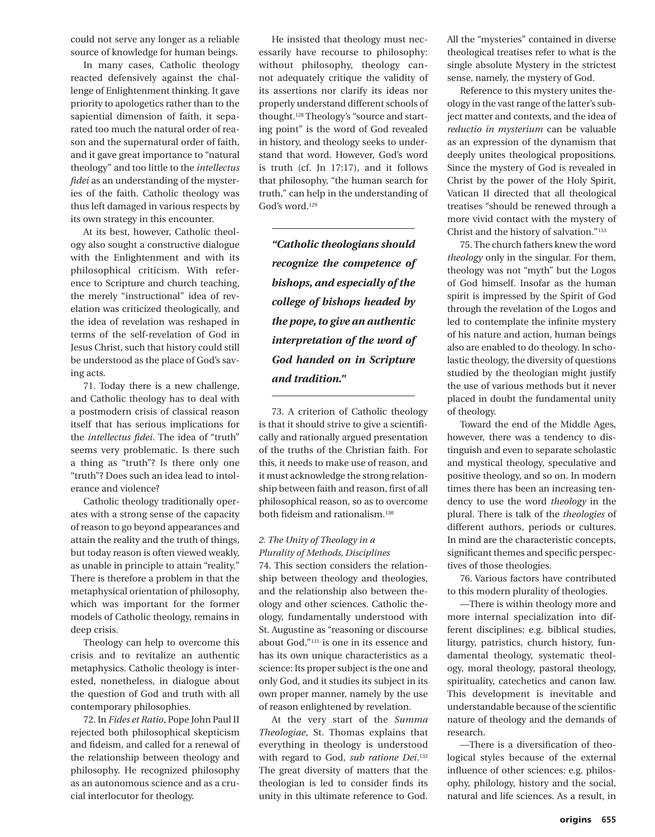could not serve any longer as a reliable source of knowledge for human beings.

In many cases, Catholic theology reacted defensively against the challenge of Enlightenment thinking. It gave priority to apologetics rather than to the sapiential dimension of faith, it separated too much the natural order of reason and the supernatural order of faith, and it gave great importance to "natural theology" and too little to the *intellectus fidei* as an understanding of the mysteries of the faith. Catholic theology was thus left damaged in various respects by its own strategy in this encounter.

At its best, however, Catholic theology also sought a constructive dialogue with the Enlightenment and with its philosophical criticism. With reference to Scripture and church teaching, the merely "instructional" idea of revelation was criticized theologically, and the idea of revelation was reshaped in terms of the self-revelation of God in Jesus Christ, such that history could still be understood as the place of God's saving acts.

71. Today there is a new challenge, and Catholic theology has to deal with a postmodern crisis of classical reason itself that has serious implications for the *intellectus fidei*. The idea of "truth" seems very problematic. Is there such a thing as "truth"? Is there only one "truth"? Does such an idea lead to intolerance and violence?

Catholic theology traditionally operates with a strong sense of the capacity of reason to go beyond appearances and attain the reality and the truth of things, but today reason is often viewed weakly, as unable in principle to attain "reality." There is therefore a problem in that the metaphysical orientation of philosophy, which was important for the former models of Catholic theology, remains in deep crisis.

Theology can help to overcome this crisis and to revitalize an authentic metaphysics. Catholic theology is interested, nonetheless, in dialogue about the question of God and truth with all contemporary philosophies.

72. In *Fides et Ratio*, Pope John Paul II rejected both philosophical skepticism and fideism, and called for a renewal of the relationship between theology and philosophy. He recognized philosophy as an autonomous science and as a crucial interlocutor for theology.

He insisted that theology must necessarily have recourse to philosophy: without philosophy, theology cannot adequately critique the validity of its assertions nor clarify its ideas nor properly understand different schools of thought.128 Theology's "source and starting point" is the word of God revealed in history, and theology seeks to understand that word. However, God's word is truth (cf. Jn 17:17), and it follows that philosophy, "the human search for truth," can help in the understanding of God's word.129

*"Catholic theologians should recognize the competence of bishops, and especially of the college of bishops headed by the pope, to give an authentic interpretation of the word of God handed on in Scripture and tradition."*

73. A criterion of Catholic theology is that it should strive to give a scientifically and rationally argued presentation of the truths of the Christian faith. For this, it needs to make use of reason, and it must acknowledge the strong relationship between faith and reason, first of all philosophical reason, so as to overcome both fideism and rationalism.130

#### *2. The Unity of Theology in a Plurality of Methods, Disciplines*

74. This section considers the relationship between theology and theologies, and the relationship also between theology and other sciences. Catholic theology, fundamentally understood with St. Augustine as "reasoning or discourse about God,"131 is one in its essence and has its own unique characteristics as a science: Its proper subject is the one and only God, and it studies its subject in its own proper manner, namely by the use of reason enlightened by revelation.

At the very start of the *Summa Theologiae*, St. Thomas explains that everything in theology is understood with regard to God, *sub ratione Dei*. 132 The great diversity of matters that the theologian is led to consider finds its unity in this ultimate reference to God.

All the "mysteries" contained in diverse theological treatises refer to what is the single absolute Mystery in the strictest sense, namely, the mystery of God.

Reference to this mystery unites theology in the vast range of the latter's subject matter and contexts, and the idea of *reductio in mysterium* can be valuable as an expression of the dynamism that deeply unites theological propositions. Since the mystery of God is revealed in Christ by the power of the Holy Spirit, Vatican II directed that all theological treatises "should be renewed through a more vivid contact with the mystery of Christ and the history of salvation."133

75. The church fathers knew the word *theology* only in the singular. For them, theology was not "myth" but the Logos of God himself. Insofar as the human spirit is impressed by the Spirit of God through the revelation of the Logos and led to contemplate the infinite mystery of his nature and action, human beings also are enabled to do theology. In scholastic theology, the diversity of questions studied by the theologian might justify the use of various methods but it never placed in doubt the fundamental unity of theology.

Toward the end of the Middle Ages, however, there was a tendency to distinguish and even to separate scholastic and mystical theology, speculative and positive theology, and so on. In modern times there has been an increasing tendency to use the word *theology* in the plural. There is talk of the *theologies* of different authors, periods or cultures. In mind are the characteristic concepts, significant themes and specific perspectives of those theologies.

76. Various factors have contributed to this modern plurality of theologies.

—There is within theology more and more internal specialization into different disciplines: e.g. biblical studies, liturgy, patristics, church history, fundamental theology, systematic theology, moral theology, pastoral theology, spirituality, catechetics and canon law. This development is inevitable and understandable because of the scientific nature of theology and the demands of research.

—There is a diversification of theological styles because of the external influence of other sciences: e.g. philosophy, philology, history and the social, natural and life sciences. As a result, in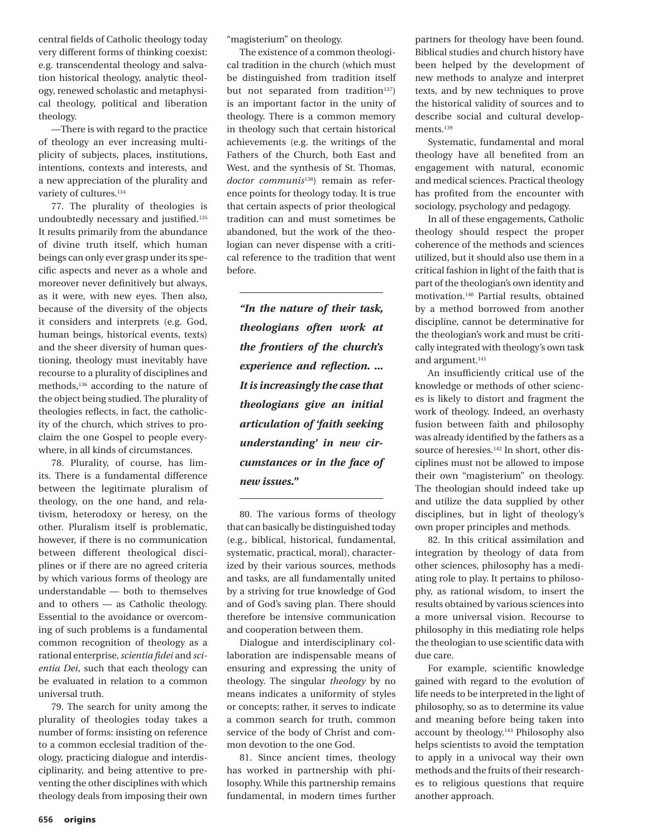central fields of Catholic theology today very different forms of thinking coexist: e.g. transcendental theology and salvation historical theology, analytic theology, renewed scholastic and metaphysical theology, political and liberation theology.

—There is with regard to the practice of theology an ever increasing multiplicity of subjects, places, institutions, intentions, contexts and interests, and a new appreciation of the plurality and variety of cultures.<sup>134</sup>

77. The plurality of theologies is undoubtedly necessary and justified.135 It results primarily from the abundance of divine truth itself, which human beings can only ever grasp under its specific aspects and never as a whole and moreover never definitively but always, as it were, with new eyes. Then also, because of the diversity of the objects it considers and interprets (e.g. God, human beings, historical events, texts) and the sheer diversity of human questioning, theology must inevitably have recourse to a plurality of disciplines and methods,136 according to the nature of the object being studied. The plurality of theologies reflects, in fact, the catholicity of the church, which strives to proclaim the one Gospel to people everywhere, in all kinds of circumstances.

78. Plurality, of course, has limits. There is a fundamental difference between the legitimate pluralism of theology, on the one hand, and relativism, heterodoxy or heresy, on the other. Pluralism itself is problematic, however, if there is no communication between different theological disciplines or if there are no agreed criteria by which various forms of theology are understandable — both to themselves and to others — as Catholic theology. Essential to the avoidance or overcoming of such problems is a fundamental common recognition of theology as a rational enterprise, *scientia fidei* and *scientia Dei*, such that each theology can be evaluated in relation to a common universal truth.

79. The search for unity among the plurality of theologies today takes a number of forms: insisting on reference to a common ecclesial tradition of theology, practicing dialogue and interdisciplinarity, and being attentive to preventing the other disciplines with which theology deals from imposing their own "magisterium" on theology.

The existence of a common theological tradition in the church (which must be distinguished from tradition itself but not separated from tradition<sup>137</sup>) is an important factor in the unity of theology. There is a common memory in theology such that certain historical achievements (e.g. the writings of the Fathers of the Church, both East and West, and the synthesis of St. Thomas, *doctor communis*138) remain as reference points for theology today. It is true that certain aspects of prior theological tradition can and must sometimes be abandoned, but the work of the theologian can never dispense with a critical reference to the tradition that went before.

*"In the nature of their task, theologians often work at the frontiers of the church's experience and reflection. ... It is increasingly the case that theologians give an initial articulation of 'faith seeking understanding' in new circumstances or in the face of new issues."*

80. The various forms of theology that can basically be distinguished today (e.g., biblical, historical, fundamental, systematic, practical, moral), characterized by their various sources, methods and tasks, are all fundamentally united by a striving for true knowledge of God and of God's saving plan. There should therefore be intensive communication and cooperation between them.

Dialogue and interdisciplinary collaboration are indispensable means of ensuring and expressing the unity of theology. The singular *theology* by no means indicates a uniformity of styles or concepts; rather, it serves to indicate a common search for truth, common service of the body of Christ and common devotion to the one God.

81. Since ancient times, theology has worked in partnership with philosophy. While this partnership remains fundamental, in modern times further partners for theology have been found. Biblical studies and church history have been helped by the development of new methods to analyze and interpret texts, and by new techniques to prove the historical validity of sources and to describe social and cultural developments.<sup>139</sup>

Systematic, fundamental and moral theology have all benefited from an engagement with natural, economic and medical sciences. Practical theology has profited from the encounter with sociology, psychology and pedagogy.

In all of these engagements, Catholic theology should respect the proper coherence of the methods and sciences utilized, but it should also use them in a critical fashion in light of the faith that is part of the theologian's own identity and motivation.140 Partial results, obtained by a method borrowed from another discipline, cannot be determinative for the theologian's work and must be critically integrated with theology's own task and argument.<sup>141</sup>

An insufficiently critical use of the knowledge or methods of other sciences is likely to distort and fragment the work of theology. Indeed, an overhasty fusion between faith and philosophy was already identified by the fathers as a source of heresies.<sup>142</sup> In short, other disciplines must not be allowed to impose their own "magisterium" on theology. The theologian should indeed take up and utilize the data supplied by other disciplines, but in light of theology's own proper principles and methods.

82. In this critical assimilation and integration by theology of data from other sciences, philosophy has a mediating role to play. It pertains to philosophy, as rational wisdom, to insert the results obtained by various sciences into a more universal vision. Recourse to philosophy in this mediating role helps the theologian to use scientific data with due care.

For example, scientific knowledge gained with regard to the evolution of life needs to be interpreted in the light of philosophy, so as to determine its value and meaning before being taken into account by theology.143 Philosophy also helps scientists to avoid the temptation to apply in a univocal way their own methods and the fruits of their researches to religious questions that require another approach.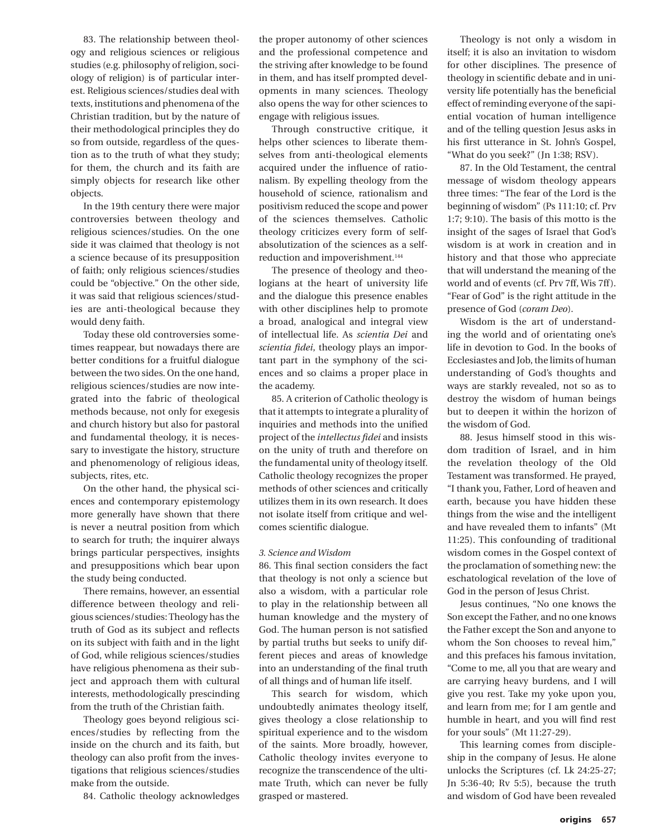83. The relationship between theology and religious sciences or religious studies (e.g. philosophy of religion, sociology of religion) is of particular interest. Religious sciences/studies deal with texts, institutions and phenomena of the Christian tradition, but by the nature of their methodological principles they do so from outside, regardless of the question as to the truth of what they study; for them, the church and its faith are simply objects for research like other objects.

In the 19th century there were major controversies between theology and religious sciences/studies. On the one side it was claimed that theology is not a science because of its presupposition of faith; only religious sciences/studies could be "objective." On the other side, it was said that religious sciences/studies are anti-theological because they would deny faith.

Today these old controversies sometimes reappear, but nowadays there are better conditions for a fruitful dialogue between the two sides. On the one hand, religious sciences/studies are now integrated into the fabric of theological methods because, not only for exegesis and church history but also for pastoral and fundamental theology, it is necessary to investigate the history, structure and phenomenology of religious ideas, subjects, rites, etc.

On the other hand, the physical sciences and contemporary epistemology more generally have shown that there is never a neutral position from which to search for truth; the inquirer always brings particular perspectives, insights and presuppositions which bear upon the study being conducted.

There remains, however, an essential difference between theology and religious sciences/studies: Theology has the truth of God as its subject and reflects on its subject with faith and in the light of God, while religious sciences/studies have religious phenomena as their subject and approach them with cultural interests, methodologically prescinding from the truth of the Christian faith.

Theology goes beyond religious sciences/studies by reflecting from the inside on the church and its faith, but theology can also profit from the investigations that religious sciences/studies make from the outside.

84. Catholic theology acknowledges

the proper autonomy of other sciences and the professional competence and the striving after knowledge to be found in them, and has itself prompted developments in many sciences. Theology also opens the way for other sciences to engage with religious issues.

Through constructive critique, it helps other sciences to liberate themselves from anti-theological elements acquired under the influence of rationalism. By expelling theology from the household of science, rationalism and positivism reduced the scope and power of the sciences themselves. Catholic theology criticizes every form of selfabsolutization of the sciences as a selfreduction and impoverishment.<sup>144</sup>

The presence of theology and theologians at the heart of university life and the dialogue this presence enables with other disciplines help to promote a broad, analogical and integral view of intellectual life. As *scientia Dei* and *scientia fidei*, theology plays an important part in the symphony of the sciences and so claims a proper place in the academy.

85. A criterion of Catholic theology is that it attempts to integrate a plurality of inquiries and methods into the unified project of the *intellectus fidei* and insists on the unity of truth and therefore on the fundamental unity of theology itself. Catholic theology recognizes the proper methods of other sciences and critically utilizes them in its own research. It does not isolate itself from critique and welcomes scientific dialogue.

#### *3. Science and Wisdom*

86. This final section considers the fact that theology is not only a science but also a wisdom, with a particular role to play in the relationship between all human knowledge and the mystery of God. The human person is not satisfied by partial truths but seeks to unify different pieces and areas of knowledge into an understanding of the final truth of all things and of human life itself.

This search for wisdom, which undoubtedly animates theology itself, gives theology a close relationship to spiritual experience and to the wisdom of the saints. More broadly, however, Catholic theology invites everyone to recognize the transcendence of the ultimate Truth, which can never be fully grasped or mastered.

Theology is not only a wisdom in itself; it is also an invitation to wisdom for other disciplines. The presence of theology in scientific debate and in university life potentially has the beneficial effect of reminding everyone of the sapiential vocation of human intelligence and of the telling question Jesus asks in his first utterance in St. John's Gospel, "What do you seek?" (Jn 1:38; RSV).

87. In the Old Testament, the central message of wisdom theology appears three times: "The fear of the Lord is the beginning of wisdom" (Ps 111:10; cf. Prv 1:7; 9:10). The basis of this motto is the insight of the sages of Israel that God's wisdom is at work in creation and in history and that those who appreciate that will understand the meaning of the world and of events (cf. Prv 7ff, Wis 7ff). "Fear of God" is the right attitude in the presence of God (*coram Deo*).

Wisdom is the art of understanding the world and of orientating one's life in devotion to God. In the books of Ecclesiastes and Job, the limits of human understanding of God's thoughts and ways are starkly revealed, not so as to destroy the wisdom of human beings but to deepen it within the horizon of the wisdom of God.

88. Jesus himself stood in this wisdom tradition of Israel, and in him the revelation theology of the Old Testament was transformed. He prayed, "I thank you, Father, Lord of heaven and earth, because you have hidden these things from the wise and the intelligent and have revealed them to infants" (Mt 11:25). This confounding of traditional wisdom comes in the Gospel context of the proclamation of something new: the eschatological revelation of the love of God in the person of Jesus Christ.

Jesus continues, "No one knows the Son except the Father, and no one knows the Father except the Son and anyone to whom the Son chooses to reveal him," and this prefaces his famous invitation, "Come to me, all you that are weary and are carrying heavy burdens, and I will give you rest. Take my yoke upon you, and learn from me; for I am gentle and humble in heart, and you will find rest for your souls" (Mt 11:27-29).

This learning comes from discipleship in the company of Jesus. He alone unlocks the Scriptures (cf. Lk 24:25-27; Jn 5:36-40; Rv 5:5), because the truth and wisdom of God have been revealed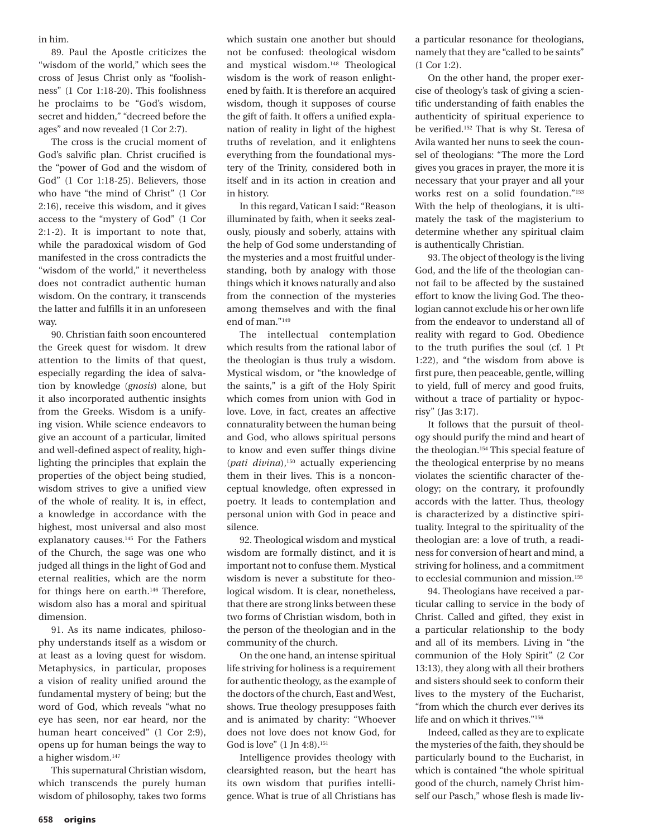in him.

89. Paul the Apostle criticizes the "wisdom of the world," which sees the cross of Jesus Christ only as "foolishness" (1 Cor 1:18-20). This foolishness he proclaims to be "God's wisdom, secret and hidden," "decreed before the ages" and now revealed (1 Cor 2:7).

The cross is the crucial moment of God's salvific plan. Christ crucified is the "power of God and the wisdom of God" (1 Cor 1:18-25). Believers, those who have "the mind of Christ" (1 Cor 2:16), receive this wisdom, and it gives access to the "mystery of God" (1 Cor 2:1-2). It is important to note that, while the paradoxical wisdom of God manifested in the cross contradicts the "wisdom of the world," it nevertheless does not contradict authentic human wisdom. On the contrary, it transcends the latter and fulfills it in an unforeseen way.

90. Christian faith soon encountered the Greek quest for wisdom. It drew attention to the limits of that quest, especially regarding the idea of salvation by knowledge (*gnosis*) alone, but it also incorporated authentic insights from the Greeks. Wisdom is a unifying vision. While science endeavors to give an account of a particular, limited and well-defined aspect of reality, highlighting the principles that explain the properties of the object being studied, wisdom strives to give a unified view of the whole of reality. It is, in effect, a knowledge in accordance with the highest, most universal and also most explanatory causes.145 For the Fathers of the Church, the sage was one who judged all things in the light of God and eternal realities, which are the norm for things here on earth.146 Therefore, wisdom also has a moral and spiritual dimension.

91. As its name indicates, philosophy understands itself as a wisdom or at least as a loving quest for wisdom. Metaphysics, in particular, proposes a vision of reality unified around the fundamental mystery of being; but the word of God, which reveals "what no eye has seen, nor ear heard, nor the human heart conceived" (1 Cor 2:9), opens up for human beings the way to a higher wisdom.147

This supernatural Christian wisdom, which transcends the purely human wisdom of philosophy, takes two forms which sustain one another but should not be confused: theological wisdom and mystical wisdom.148 Theological wisdom is the work of reason enlightened by faith. It is therefore an acquired wisdom, though it supposes of course the gift of faith. It offers a unified explanation of reality in light of the highest truths of revelation, and it enlightens everything from the foundational mystery of the Trinity, considered both in itself and in its action in creation and in history.

In this regard, Vatican I said: "Reason illuminated by faith, when it seeks zealously, piously and soberly, attains with the help of God some understanding of the mysteries and a most fruitful understanding, both by analogy with those things which it knows naturally and also from the connection of the mysteries among themselves and with the final end of man."149

The intellectual contemplation which results from the rational labor of the theologian is thus truly a wisdom. Mystical wisdom, or "the knowledge of the saints," is a gift of the Holy Spirit which comes from union with God in love. Love, in fact, creates an affective connaturality between the human being and God, who allows spiritual persons to know and even suffer things divine (*pati divina*),150 actually experiencing them in their lives. This is a nonconceptual knowledge, often expressed in poetry. It leads to contemplation and personal union with God in peace and silence.

92. Theological wisdom and mystical wisdom are formally distinct, and it is important not to confuse them. Mystical wisdom is never a substitute for theological wisdom. It is clear, nonetheless, that there are strong links between these two forms of Christian wisdom, both in the person of the theologian and in the community of the church.

On the one hand, an intense spiritual life striving for holiness is a requirement for authentic theology, as the example of the doctors of the church, East and West, shows. True theology presupposes faith and is animated by charity: "Whoever does not love does not know God, for God is love" (1 Jn 4:8).<sup>151</sup>

Intelligence provides theology with clearsighted reason, but the heart has its own wisdom that purifies intelligence. What is true of all Christians has a particular resonance for theologians, namely that they are "called to be saints" (1 Cor 1:2).

On the other hand, the proper exercise of theology's task of giving a scientific understanding of faith enables the authenticity of spiritual experience to be verified.152 That is why St. Teresa of Avila wanted her nuns to seek the counsel of theologians: "The more the Lord gives you graces in prayer, the more it is necessary that your prayer and all your works rest on a solid foundation."153 With the help of theologians, it is ultimately the task of the magisterium to determine whether any spiritual claim is authentically Christian.

93. The object of theology is the living God, and the life of the theologian cannot fail to be affected by the sustained effort to know the living God. The theologian cannot exclude his or her own life from the endeavor to understand all of reality with regard to God. Obedience to the truth purifies the soul (cf. 1 Pt 1:22), and "the wisdom from above is first pure, then peaceable, gentle, willing to yield, full of mercy and good fruits, without a trace of partiality or hypocrisy" (Jas 3:17).

It follows that the pursuit of theology should purify the mind and heart of the theologian.154 This special feature of the theological enterprise by no means violates the scientific character of theology; on the contrary, it profoundly accords with the latter. Thus, theology is characterized by a distinctive spirituality. Integral to the spirituality of the theologian are: a love of truth, a readiness for conversion of heart and mind, a striving for holiness, and a commitment to ecclesial communion and mission.155

94. Theologians have received a particular calling to service in the body of Christ. Called and gifted, they exist in a particular relationship to the body and all of its members. Living in "the communion of the Holy Spirit" (2 Cor 13:13), they along with all their brothers and sisters should seek to conform their lives to the mystery of the Eucharist, "from which the church ever derives its life and on which it thrives."156

Indeed, called as they are to explicate the mysteries of the faith, they should be particularly bound to the Eucharist, in which is contained "the whole spiritual good of the church, namely Christ himself our Pasch," whose flesh is made liv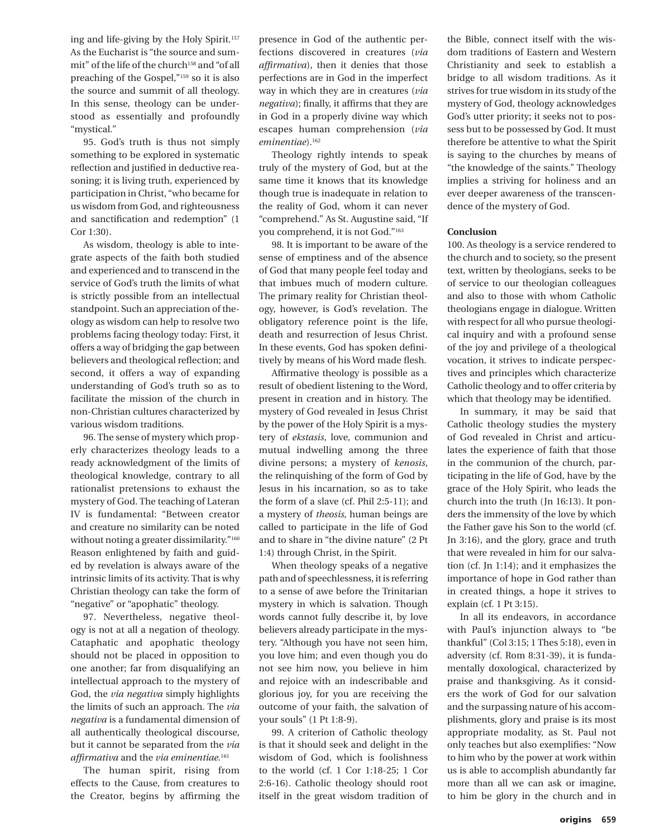ing and life-giving by the Holy Spirit.157 As the Eucharist is "the source and summit" of the life of the church<sup>158</sup> and "of all preaching of the Gospel,"159 so it is also the source and summit of all theology. In this sense, theology can be understood as essentially and profoundly "mystical."

95. God's truth is thus not simply something to be explored in systematic reflection and justified in deductive reasoning; it is living truth, experienced by participation in Christ, "who became for us wisdom from God, and righteousness and sanctification and redemption" (1 Cor 1:30).

As wisdom, theology is able to integrate aspects of the faith both studied and experienced and to transcend in the service of God's truth the limits of what is strictly possible from an intellectual standpoint. Such an appreciation of theology as wisdom can help to resolve two problems facing theology today: First, it offers a way of bridging the gap between believers and theological reflection; and second, it offers a way of expanding understanding of God's truth so as to facilitate the mission of the church in non-Christian cultures characterized by various wisdom traditions.

96. The sense of mystery which properly characterizes theology leads to a ready acknowledgment of the limits of theological knowledge, contrary to all rationalist pretensions to exhaust the mystery of God. The teaching of Lateran IV is fundamental: "Between creator and creature no similarity can be noted without noting a greater dissimilarity."<sup>160</sup> Reason enlightened by faith and guided by revelation is always aware of the intrinsic limits of its activity. That is why Christian theology can take the form of "negative" or "apophatic" theology.

97. Nevertheless, negative theology is not at all a negation of theology. Cataphatic and apophatic theology should not be placed in opposition to one another; far from disqualifying an intellectual approach to the mystery of God, the *via negativa* simply highlights the limits of such an approach. The *via negativa* is a fundamental dimension of all authentically theological discourse, but it cannot be separated from the *via affirmativa* and the *via eminentiae.*<sup>161</sup>

The human spirit, rising from effects to the Cause, from creatures to the Creator, begins by affirming the

presence in God of the authentic perfections discovered in creatures (*via affirmativa*), then it denies that those perfections are in God in the imperfect way in which they are in creatures (*via negativa*); finally, it affirms that they are in God in a properly divine way which escapes human comprehension (*via eminentiae*).162

Theology rightly intends to speak truly of the mystery of God, but at the same time it knows that its knowledge though true is inadequate in relation to the reality of God, whom it can never "comprehend." As St. Augustine said, "If you comprehend, it is not God."163

98. It is important to be aware of the sense of emptiness and of the absence of God that many people feel today and that imbues much of modern culture. The primary reality for Christian theology, however, is God's revelation. The obligatory reference point is the life, death and resurrection of Jesus Christ. In these events, God has spoken definitively by means of his Word made flesh.

Affirmative theology is possible as a result of obedient listening to the Word, present in creation and in history. The mystery of God revealed in Jesus Christ by the power of the Holy Spirit is a mystery of *ekstasis*, love, communion and mutual indwelling among the three divine persons; a mystery of *kenosis*, the relinquishing of the form of God by Jesus in his incarnation, so as to take the form of a slave (cf. Phil 2:5-11); and a mystery of *theosis,* human beings are called to participate in the life of God and to share in "the divine nature" (2 Pt 1:4) through Christ, in the Spirit.

When theology speaks of a negative path and of speechlessness, it is referring to a sense of awe before the Trinitarian mystery in which is salvation. Though words cannot fully describe it, by love believers already participate in the mystery. "Although you have not seen him, you love him; and even though you do not see him now, you believe in him and rejoice with an indescribable and glorious joy, for you are receiving the outcome of your faith, the salvation of your souls" (1 Pt 1:8-9).

99. A criterion of Catholic theology is that it should seek and delight in the wisdom of God, which is foolishness to the world (cf. 1 Cor 1:18-25; 1 Cor 2:6-16). Catholic theology should root itself in the great wisdom tradition of the Bible, connect itself with the wisdom traditions of Eastern and Western Christianity and seek to establish a bridge to all wisdom traditions. As it strives for true wisdom in its study of the mystery of God, theology acknowledges God's utter priority; it seeks not to possess but to be possessed by God. It must therefore be attentive to what the Spirit is saying to the churches by means of "the knowledge of the saints." Theology implies a striving for holiness and an ever deeper awareness of the transcendence of the mystery of God.

#### **Conclusion**

100. As theology is a service rendered to the church and to society, so the present text, written by theologians, seeks to be of service to our theologian colleagues and also to those with whom Catholic theologians engage in dialogue. Written with respect for all who pursue theological inquiry and with a profound sense of the joy and privilege of a theological vocation, it strives to indicate perspectives and principles which characterize Catholic theology and to offer criteria by which that theology may be identified.

In summary, it may be said that Catholic theology studies the mystery of God revealed in Christ and articulates the experience of faith that those in the communion of the church, participating in the life of God, have by the grace of the Holy Spirit, who leads the church into the truth (Jn 16:13). It ponders the immensity of the love by which the Father gave his Son to the world (cf. Jn 3:16), and the glory, grace and truth that were revealed in him for our salvation (cf. Jn 1:14); and it emphasizes the importance of hope in God rather than in created things, a hope it strives to explain (cf. 1 Pt 3:15).

In all its endeavors, in accordance with Paul's injunction always to "be thankful" (Col 3:15; 1 Thes 5:18), even in adversity (cf. Rom 8:31-39), it is fundamentally doxological, characterized by praise and thanksgiving. As it considers the work of God for our salvation and the surpassing nature of his accomplishments, glory and praise is its most appropriate modality, as St. Paul not only teaches but also exemplifies: "Now to him who by the power at work within us is able to accomplish abundantly far more than all we can ask or imagine, to him be glory in the church and in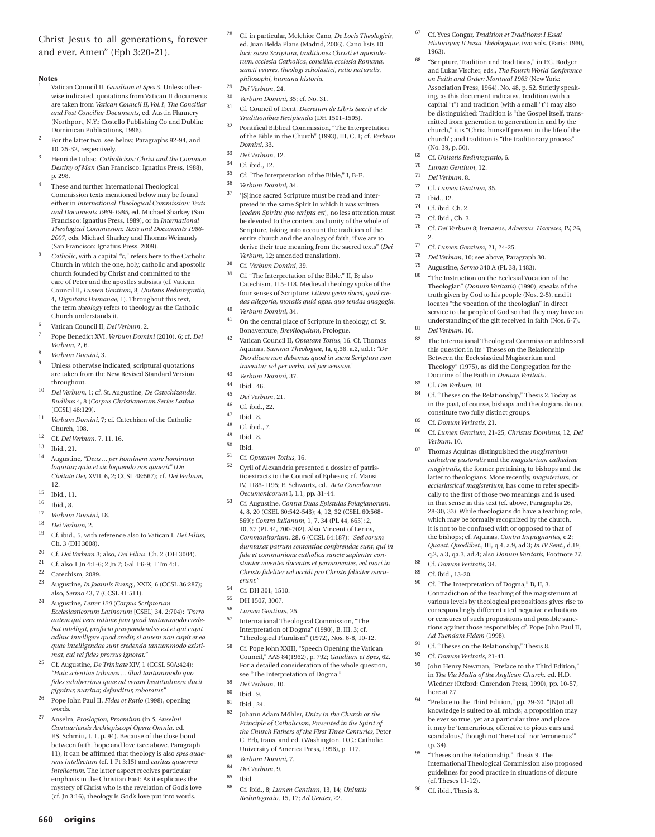### Christ Jesus to all generations, forever and ever. Amen" (Eph 3:20-21).

#### **Notes**

- <sup>1</sup> Vatican Council II, *Gaudium et Spes* 3. Unless otherwise indicated, quotations from Vatican II documents are taken from *Vatican Council II, Vol.1, The Conciliar and Post Conciliar Documents,* ed. Austin Flannery (Northport, N.Y.: Costello Publishing Co and Dublin: Dominican Publications, 1996).
- <sup>2</sup> For the latter two, see below, Paragraphs 92-94, and 10, 25-32, respectively.
- <sup>3</sup> Henri de Lubac, *Catholicism: Christ and the Common Destiny of Man* (San Francisco: Ignatius Press, 1988), p. 298.
- These and further International Theological Commission texts mentioned below may be found either in *International Theological Commission: Texts and Documents 1969-1985,* ed. Michael Sharkey (San Francisco: Ignatius Press, 1989), or in *International Theological Commission: Texts and Documents 1986- 2007*, eds. Michael Sharkey and Thomas Weinandy (San Francisco: Ignatius Press, 2009).
- <sup>5</sup> *Catholic*, with a capital "c," refers here to the Catholic Church in which the one, holy, catholic and apostolic church founded by Christ and committed to the care of Peter and the apostles subsists (cf. Vatican Council II, *Lumen Gentium*, 8, *Unitatis Redintegratio*, 4, *Dignitatis Humanae*, 1). Throughout this text, the term *theology* refers to theology as the Catholic Church understands it.
- <sup>6</sup> Vatican Council II, *Dei Verbum*, 2.
- <sup>7</sup> Pope Benedict XVI, *Verbum Domini* (2010), 6; cf. *Dei Verbum*, 2, 6.
- <sup>8</sup> *Verbum Domini*, 3.
- Unless otherwise indicated, scriptural quotations are taken from the New Revised Standard Version throughout.
- <sup>10</sup> *Dei Verbum*, 1; cf. St. Augustine, *De Catechizandis. Rudibus* 4, 8 (*Corpus Christianorum Series Latina* [CCSL] 46:129).
- <sup>11</sup> *Verbum Domini*, 7; cf. Catechism of the Catholic Church, 108.
- <sup>12</sup> Cf. *Dei Verbum*, 7, 11, 16.
- Ibid., 21.
- <sup>14</sup> Augustine, *"Deus ... per hominem more hominum loquitur; quia et sic loquendo nos quaerit"* (*De Civitate Dei,* XVII, 6, 2; CCSL 48:567); cf. *Dei Verbum*, 12.
- $\frac{15}{16}$  Ibid., 11.
- $16$  Ibid., 8.
- <sup>17</sup> *Verbum Domini*, 18.
- <sup>18</sup> *Dei Verbum*, 2.
- <sup>19</sup> Cf. ibid., 5, with reference also to Vatican I, *Dei Filius*, Ch. 3 (DH 3008).
- <sup>20</sup> Cf. *Dei Verbum* 3; also, *Dei Filius*, Ch. 2 (DH 3004).
- <sup>21</sup> Cf. also 1 Jn 4:1-6; 2 Jn 7; Gal 1:6-9; 1 Tm 4:1.
- $\frac{22}{23}$  Catechism, 2089.
- <sup>23</sup> Augustine, *In Joannis Evang.,* XXIX, 6 (CCSL 36:287); also, *Sermo* 43, 7 (CCSL 41:511).
- <sup>24</sup> Augustine, *Letter 120* (*Corpus Scriptorum Ecclesiasticorum Latinorum* [CSEL] 34, 2:704): *"Porro autem qui vera ratione jam quod tantummodo credebat intelligit, profecto praepondendus est ei qui cupit adhuc intelligere quod credit; si autem non cupit et ea quae intelligendae sunt credenda tantummodo existimat, cui rei fides prorsus ignorat."*
- <sup>25</sup> Cf. Augustine, *De Trinitate* XIV, 1 (CCSL 50A:424): *"Huic scientiae tribuens ... illud tantummodo quo fides saluberrima quae ad veram beatitudinem ducit gignitur, nutritur, defenditur, roboratur."*
- <sup>26</sup> Pope John Paul II, *Fides et Ratio* (1998), opening words.
- <sup>27</sup> Anselm, *Proslogion, Proemium* (in *S. Anselmi Cantuariensis Archiepiscopi Opera Omnia*, ed. F.S. Schmitt, t. 1, p. 94). Because of the close bond between faith, hope and love (see above, Paragraph 11), it can be affirmed that theology is also *spes quaerens intellectum* (cf. 1 Pt 3:15) and *caritas quaerens intellectum.* The latter aspect receives particular emphasis in the Christian East: As it explicates the mystery of Christ who is the revelation of God's love (cf. Jn 3:16), theology is God's love put into words.
- <sup>28</sup> Cf. in particular, Melchior Cano, *De Locis Theologicis*, ed. Juan Belda Plans (Madrid, 2006). Cano lists 10 *loci: sacra Scriptura, traditiones Christi et apostolorum, ecclesia Catholica, concilia, ecclesia Romana, sancti veteres, theologi scholastici, ratio naturalis, philosophi, humana historia.*
- <sup>29</sup> *Dei Verbum*, 24.
- <sup>30</sup> *Verbum Domini*, 35; cf. No. 31.
- <sup>31</sup> Cf. Council of Trent, *Decretum de Libris Sacris et de Traditionibus Recipiendis* (DH 1501-1505).
- <sup>32</sup> Pontifical Biblical Commission, "The Interpretation of the Bible in the Church" (1993), III, C, 1; cf. *Verbum Domini*, 33.
- <sup>33</sup> *Dei Verbum*, 12.
- $34$  Cf. ibid., 12.<br> $35$  Cf. "The Inte
- Cf. "The Interpretation of the Bible," I, B-E.
- <sup>36</sup> *Verbum Domini*, 34.
- '[S]ince sacred Scripture must be read and interpreted in the same Spirit in which it was written [*eodem Spiritu quo scripta est*], no less attention must be devoted to the content and unity of the whole of Scripture, taking into account the tradition of the entire church and the analogy of faith, if we are to derive their true meaning from the sacred texts" (*Dei Verbum*, 12; amended translation).
- <sup>38</sup> Cf. *Verbum Domini*, 39.
- Cf. "The Interpretation of the Bible," II, B; also Catechism, 115-118. Medieval theology spoke of the four senses of Scripture: *Littera gesta docet, quid credas allegoria, moralis quid agas, quo tendas anagogia.*
- <sup>40</sup> *Verbum Domini*, 34.
- <sup>41</sup> On the central place of Scripture in theology, cf. St. Bonaventure, *Breviloquium,* Prologue.
- <sup>42</sup> Vatican Council II, *Optatam Totius*, 16. Cf. Thomas Aquinas, *Summa Theologiae,* Ia, q.36, a.2, ad.1: *"De Deo dicere non debemus quod in sacra Scriptura non invenitur vel per verba, vel per sensum*."
- <sup>43</sup> *Verbum Domini*, 37.
- <sup>44</sup> Ibid., 46.
- <sup>45</sup> *Dei Verbum*, 21.
- 46 Cf. ibid., 22.
- $^{47}$  Ibid., 8.
- $^{48}$  Cf. ibid., 7.<br> $^{49}$  Ibid. 9
- $^{49}$  Ibid., 8.
- $\begin{bmatrix} 50 & \text{Ibid.} \\ 51 & \text{C} & \text{C} \end{bmatrix}$
- <sup>51</sup> Cf. *Optatam Totius*, 16.
- <sup>52</sup> Cyril of Alexandria presented a dossier of patristic extracts to the Council of Ephesus; cf. Mansi IV, 1183-1195; E. Schwartz, ed., *Acta Conciliorum Oecumenicorum* I, 1.1, pp. 31-44.
- <sup>53</sup> Cf. Augustine, *Contra Duas Epistulas Pelagianorum*, 4, 8, 20 (CSEL 60:542-543); 4, 12, 32 (CSEL 60:568- 569); *Contra Iulianum,* 1, 7, 34 (PL 44, 665); 2, 10, 37 (PL 44, 700-702). Also, Vincent of Lerins, *Commonitorium*, 28, 6 (CCSL 64:187): *"Sed eorum dumtaxat patrum sententiae conferendae sunt, qui in fide et communione catholica sancte sapienter constanter viventes docentes et permanentes, vel mori in Christo fideliter vel occidi pro Christo feliciter meruerunt."*
- 54 Cf. DH 301, 1510.
- $55$  DH 1507, 3007.
- <sup>56</sup> *Lumen Gentium*, 25.
- <sup>57</sup> International Theological Commission, "The Interpretation of Dogma" (1990), B, III, 3; cf. "Theological Pluralism" (1972), Nos. 6-8, 10-12.
- <sup>58</sup> Cf. Pope John XXIII, "Speech Opening the Vatican Council," AAS 84(1962), p. 792; *Gaudium et Spes*, 62. For a detailed consideration of the whole question, see "The Interpretation of Dogma."
- <sup>59</sup> *Dei Verbum*, 10.
- $^{60}$  Ibid., 9.
- Ibid., 24.
- <sup>62</sup> Johann Adam Möhler, *Unity in the Church or the Principle of Catholicism, Presented in the Spirit of the Church Fathers of the First Three Centuries,* Peter C. Erb, trans. and ed. (Washington, D.C.: Catholic University of America Press, 1996), p. 117.
- <sup>63</sup> *Verbum Domini*, 7.
- <sup>64</sup> *Dei Verbum*, 9.
- $\begin{matrix} 65 \\ 66 \end{matrix}$  Ibid.
- <sup>66</sup> Cf. ibid., 8; *Lumen Gentium*, 13, 14; *Unitatis Redintegratio*, 15, 17; *Ad Gentes*, 22.
- <sup>67</sup> Cf. Yves Congar, *Tradition et Traditions: I Essai Historique; II Essai Théologique*, two vols. (Paris: 1960, 1963).
- <sup>68</sup> "Scripture, Tradition and Traditions," in P.C. Rodger and Lukas Vischer, eds., *The Fourth World Conference on Faith and Order: Montreal 1963* (New York: Association Press, 1964), No. 48, p. 52. Strictly speaking, as this document indicates, Tradition (with a capital "t") and tradition (with a small "t") may also be distinguished: Tradition is "the Gospel itself, transmitted from generation to generation in and by the church," it is "Christ himself present in the life of the church"; and tradition is "the traditionary process" (No. 39, p. 50).
- <sup>69</sup> Cf. *Unitatis Redintegratio*, 6.
- <sup>70</sup> *Lumen Gentium*, 12.
- 
- $\frac{71}{72}$  *Dei Verbum*, 8.
- <sup>72</sup> Cf. *Lumen Gentium*, 35. Ibid., 12.
- $74$  Cf. ibid, Ch. 2.
- $^{75}$  Cf. ibid., Ch. 3.<br> $^{76}$  Cf. Dai Varhum
- <sup>76</sup> Cf. *Dei Verbum* 8; Irenaeus, *Adversus. Haereses*, IV, 26, 2.
- <sup>77</sup> Cf. *Lumen Gentium*, 21, 24-25.
- <sup>78</sup> *Dei Verbum*, 10; see above, Paragraph 30.
- <sup>79</sup> Augustine, *Sermo* 340 A (PL 38, 1483).
- <sup>80</sup> "The Instruction on the Ecclesial Vocation of the Theologian" (*Donum Veritatis*) (1990), speaks of the truth given by God to his people (Nos. 2-5), and it locates "the vocation of the theologian" in direct service to the people of God so that they may have an understanding of the gift received in faith (Nos. 6-7).
- <sup>81</sup> *Dei Verbum*, 10.
- The International Theological Commission addressed this question in its "Theses on the Relationship Between the Ecclesiastical Magisterium and Theology" (1975), as did the Congregation for the Doctrine of the Faith in *Donum Veritatis*.
- <sup>83</sup> Cf. *Dei Verbum*, 10.
- Cf. "Theses on the Relationship," Thesis 2. Today as in the past, of course, bishops and theologians do not constitute two fully distinct groups.
- <sup>85</sup> Cf. *Donum Veritatis*, 21.
- <sup>86</sup> Cf. *Lumen Gentium*, 21-25, *Christus Dominus*, 12, *Dei Verbum*, 10.
- <sup>87</sup> Thomas Aquinas distinguished the *magisterium cathedrae pastoralis* and the *magisterium cathedrae magistralis*, the former pertaining to bishops and the latter to theologians. More recently, *magisterium,* or *ecclesiastical magisterium*, has come to refer specifically to the first of those two meanings and is used in that sense in this text (cf. above, Paragraphs 26, 28-30, 33). While theologians do have a teaching role, which may be formally recognized by the church, it is not to be confused with or opposed to that of the bishops; cf. Aquinas, *Contra Impugnantes,* c.2; *Quaest. Quodlibet*., III, q.4, a.9, ad 3; *In IV Sent.*, d.19, q.2, a.3, qa.3, ad.4; also *Donum Veritatis*, Footnote 27.
- <sup>88</sup> Cf. *Donum Veritatis*, 34.
- $\begin{array}{c} 89 \text{ } \text{Cf. ibid., } 13-20. \end{array}$
- Cf. "The Interpretation of Dogma," B, II, 3. Contradiction of the teaching of the magisterium at various levels by theological propositions gives rise to correspondingly differentiated negative evaluations or censures of such propositions and possible sanctions against those responsible; cf. Pope John Paul II, *Ad Tuendam Fidem* (1998).
- <sup>91</sup> Cf. "Theses on the Relationship," Thesis 8.
- <sup>92</sup> Cf. *Donum Veritatis*, 21-41.
- <sup>93</sup> John Henry Newman, "Preface to the Third Edition," in *The Via Media of the Anglican Church,* ed. H.D. Wiedner (Oxford: Clarendon Press, 1990), pp. 10-57, here at 27.
- <sup>94</sup> "Preface to the Third Edition," pp. 29-30. "[N]ot all knowledge is suited to all minds; a proposition may be ever so true, yet at a particular time and place it may be 'temerarious, offensive to pious ears and scandalous,' though not 'heretical' nor 'erroneous (p. 34).
- "Theses on the Relationship," Thesis 9. The International Theological Commission also proposed guidelines for good practice in situations of dispute (cf. Theses 11-12).
- <sup>96</sup> Cf. ibid., Thesis 8.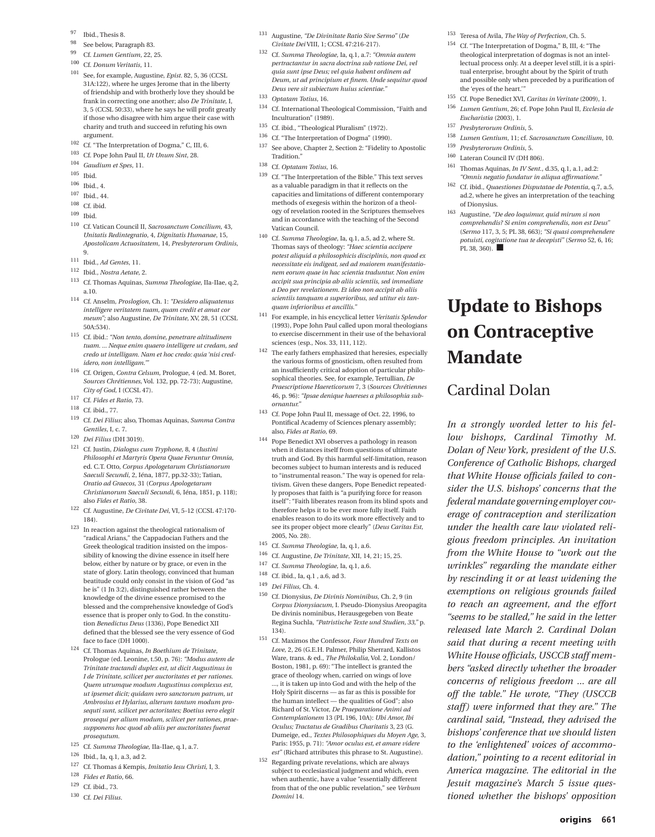- <sup>97</sup> Ibid., Thesis 8.
- <sup>98</sup> See below, Paragraph 83.
- <sup>99</sup> Cf. *Lumen Gentium*, 22, 25.
- <sup>100</sup> Cf. *Donum Veritatis*, 11.
- <sup>101</sup> See, for example, Augustine, *Epist.* 82, 5, 36 (CCSL 31A:122), where he urges Jerome that in the liberty of friendship and with brotherly love they should be frank in correcting one another; also *De Trinitate,* I, 3, 5 (CCSL 50:33), where he says he will profit greatly if those who disagree with him argue their case with charity and truth and succeed in refuting his own argument.
- $^{102}\,$  Cf. "The Interpretation of Dogma," C, III, 6.
- <sup>103</sup> Cf. Pope John Paul II, *Ut Unum Sint*, 28. <sup>104</sup> *Gaudium et Spes*, 11.
- <sup>105</sup> Ibid.
- 
- <sup>106</sup> Ibid., 4. <sup>107</sup> Ibid., 44.
- $108$  Cf. ibid.
- 
- $109$  Ibid.
- <sup>110</sup> Cf. Vatican Council II, *Sacrosanctum Concilium,* 43, *Unitatis Redintegratio*, 4, *Dignitatis Humanae*, 15, *Apostolicam Actuositatem*, 14, *Presbyterorum Ordinis*, 9.
- <sup>111</sup> Ibid., *Ad Gentes*, 11.
- <sup>112</sup> Ibid., *Nostra Aetate*, 2.
- <sup>113</sup> Cf. Thomas Aquinas, *Summa Theologiae*, IIa-IIae, q.2, a.10.
- <sup>114</sup> Cf. Anselm, *Proslogion*, Ch. 1: *"Desidero aliquatenus intelligere veritatem tuam, quam credit et amat cor meum";* also Augustine, *De Trinitate,* XV, 28, 51 (CCSL 50A:534).
- <sup>115</sup> Cf. ibid.: *"Non tento, domine, penetrare altitudinem tuam. ... Neque enim quaero intelligere ut credam, sed credo ut intelligam. Nam et hoc credo: quia 'nisi credidero, non intelligam.'"*
- <sup>116</sup> Cf. Origen, *Contra Celsum,* Prologue, 4 (ed. M. Boret, *Sources Chrétiennes,* Vol. 132, pp. 72-73); Augustine, *City of God,* I (CCSL 47).
- <sup>117</sup> Cf. *Fides et Ratio*, 73.
- <sup>118</sup> Cf. ibid., 77.
- <sup>119</sup> Cf. *Dei Filius*; also, Thomas Aquinas, *Summa Contra Gentiles*, I, c. 7.
- <sup>120</sup> *Dei Filius* (DH 3019).
- <sup>121</sup> Cf. Justin, *Dialogus cum Tryphone,* 8, 4 (*Iustini Philosophi et Martyris Opera Quae Feruntur Omnia*, ed. C.T. Otto, *Corpus Apologetarum Christianorum Saeculi Secundi,* 2, Iéna, 1877, pp.32-33); Tatian, *Oratio ad Graecos,* 31 (*Corpus Apologetarum Christianorum Saeculi Secundi,* 6, Iéna, 1851, p. 118); also *Fides et Ratio*, 38.
- <sup>122</sup> Cf. Augustine, *De Civitate Dei,* VI, 5-12 (CCSL 47:170- 184).
- $^{123}\,$  In reaction against the theological rationalism of "radical Arians," the Cappadocian Fathers and the Greek theological tradition insisted on the impossibility of knowing the divine essence in itself here below, either by nature or by grace, or even in the state of glory. Latin theology, convinced that human beatitude could only consist in the vision of God "as he is" (1 Jn 3:2), distinguished rather between the knowledge of the divine essence promised to the blessed and the comprehensive knowledge of God's essence that is proper only to God. In the constitution *Benedictus Deus* (1336), Pope Benedict XII defined that the blessed see the very essence of God face to face (DH 1000).
- <sup>124</sup> Cf. Thomas Aquinas, *In Boethium de Trinitate*, Prologue (ed. Leonine, t.50, p. 76): *"Modus autem de Trinitate tractandi duplex est, ut dicit Augustinus in I de Trinitate, scilicet per auctoritates et per rationes. Quem utrumque modum Augustinus complexus est, ut ipsemet dicit; quidam vero sanctorum patrum, ut Ambrosius et Hylarius, alterum tantum modum prosequti sunt, scilicet per actoritates; Boetius vero elegit prosequi per alium modum, scilicet per rationes, praesupponens hoc quod ab aliis per auctoritates fuerat prosequtum.*
- <sup>125</sup> Cf. *Summa Theologiae,* IIa-IIae, q.1, a.7.
- <sup>126</sup> Ibid.*,* Ia, q.1, a.3, ad 2.
- <sup>127</sup> Cf. Thomas á Kempis, *Imitatio Iesu Christi,* I, 3.
- <sup>128</sup> *Fides et Ratio*, 66.
- <sup>129</sup> Cf. ibid., 73.
- <sup>130</sup> Cf. *Dei Filius*.
- <sup>131</sup> Augustine, *"De Divinitate Ratio Sive Sermo"* (*De Civitate Dei* VIII, 1; CCSL 47:216-217).
- <sup>132</sup> Cf. *Summa Theologiae,* Ia, q.1, a.7: *"Omnia autem pertractantur in sacra doctrina sub ratione Dei, vel quia sunt ipse Deus; vel quia habent ordinem ad Deum, ut ad principium et finem. Unde sequitur quod Deus vere sit subiectum huius scientiae."*
- <sup>133</sup> *Optatam Totius*, 16.
- Cf. International Theological Commission, "Faith and Inculturation" (1989).
- <sup>135</sup> Cf. ibid., "Theological Pluralism" (1972).
- <sup>136</sup> Cf. "The Interpretation of Dogma" (1990).<br> $137 \text{ S}$  can be seen Chapter 2. Section 2. "Uidelity"
- See above, Chapter 2, Section 2: "Fidelity to Apostolic Tradition."
- <sup>138</sup> Cf. *Optatam Totius*, 16.
- $^{139}\,$  Cf. "The Interpretation of the Bible." This text serves as a valuable paradigm in that it reflects on the capacities and limitations of different contemporary methods of exegesis within the horizon of a theology of revelation rooted in the Scriptures themselves and in accordance with the teaching of the Second Vatican Council.
- <sup>140</sup> Cf. *Summa Theologiae*, Ia, q.1, a.5, ad 2, where St. Thomas says of theology: *"Haec scientia accipere potest aliquid a philosophicis disciplinis, non quod ex necessitate eis indigeat, sed ad maiorem manifestationem eorum quae in hac scientia traduntur. Non enim accipit sua principia ab aliis scientiis, sed immediate a Deo per revelationem. Et ideo non accipit ab aliis scientiis tanquam a superioribus, sed utitur eis tanquam inferioribus et ancillis."*
- <sup>141</sup> For example, in his encyclical letter *Veritatis Splendor* (1993), Pope John Paul called upon moral theologians to exercise discernment in their use of the behavioral sciences (esp., Nos. 33, 111, 112).
- <sup>142</sup> The early fathers emphasized that heresies, especially the various forms of gnosticism, often resulted from an insufficiently critical adoption of particular philosophical theories. See, for example, Tertullian, *De Praescriptione Haereticorum* 7, 3 (*Sources Chrétiennes* 46, p. 96): *"Ipsae denique haereses a philosophia subornantur."*
- <sup>143</sup> Cf. Pope John Paul II, message of Oct. 22, 1996, to Pontifical Academy of Sciences plenary assembly; also, *Fides at Ratio*, 69.
- <sup>144</sup> Pope Benedict XVI observes a pathology in reason when it distances itself from questions of ultimate truth and God. By this harmful self-limitation, reason becomes subject to human interests and is reduced to "instrumental reason." The way is opened for relativism. Given these dangers, Pope Benedict repeatedly proposes that faith is "a purifying force for reason itself": "Faith liberates reason from its blind spots and therefore helps it to be ever more fully itself. Faith enables reason to do its work more effectively and to see its proper object more clearly" (*Deus Caritas Est,* 2005, No. 28).
- <sup>145</sup> Cf. *Summa Theologiae,* Ia, q.1, a.6.
- <sup>146</sup> Cf. Augustine, *De Trinitate*, XII, 14, 21; 15, 25.
- <sup>147</sup> Cf. *Summa Theologiae,* Ia, q.1, a.6.
- $^{148}\,$  Cf. ibid., Ia, q.1 , a.6, ad 3.
- <sup>149</sup> *Dei Filius,* Ch. 4.
- <sup>150</sup> Cf. Dionysius, *De Divinis Nominibus,* Ch. 2, 9 (in *Corpus Dionysiacum,* I. Pseudo-Dionysius Areopagita De divinis nominibus, Herausgegeben von Beate Regina Suchla, *"Patristische Texte und Studien, 33,"* p. 134).
- <sup>151</sup> Cf. Maximos the Confessor, *Four Hundred Texts on Love,* 2, 26 (G.E.H. Palmer, Philip Sherrard, Kallistos Ware, trans. & ed., *The Philokalia,* Vol. 2, London/ Boston, 1981, p. 69): "The intellect is granted the grace of theology when, carried on wings of love ..., it is taken up into God and with the help of the Holy Spirit discerns — as far as this is possible for the human intellect — the qualities of God"; also Richard of St. Victor, *De Praeparatione Animi ad Contemplationem* 13 (PL 196, 10A): *Ubi Amor, Ibi Oculus; Tractatus de Gradibus Charitatis* 3, 23 (G. Dumeige, ed., *Textes Philosophiques du Moyen Age,* 3, Paris: 1955, p. 71): *"Amor oculus est, et amare videre est"* (Richard attributes this phrase to St. Augustine).
- <sup>152</sup> Regarding private revelations, which are always subject to ecclesiastical judgment and which, even when authentic, have a value "essentially different from that of the one public revelation," see *Verbum Domini* 14.
- <sup>153</sup> Teresa of Avila, *The Way of Perfection*, Ch. 5.
- <sup>154</sup> Cf. "The Interpretation of Dogma," B, III, 4: "The theological interpretation of dogmas is not an intellectual process only. At a deeper level still, it is a spiritual enterprise, brought about by the Spirit of truth and possible only when preceded by a purification of the 'eyes of the heart.'"
- <sup>155</sup> Cf. Pope Benedict XVI, *Caritas in Veritate* (2009), 1.
- <sup>156</sup> *Lumen Gentium*, 26; cf. Pope John Paul II, *Ecclesia de Eucharistia* (2003), 1.
- <sup>157</sup> *Presbyterorum Ordinis*, 5.
- <sup>158</sup> *Lumen Gentium*, 11; cf. *Sacrosanctum Concilium*, 10.
- <sup>159</sup> *Presbyterorum Ordinis*, 5.
- $^{160}$  Lateran Council IV (DH 806).
	- <sup>161</sup> Thomas Aquinas, *In IV Sent.*, d.35, q.1, a.1, ad.2: *"Omnis negatio fundatur in aliqua affirmatione."*
- <sup>162</sup> Cf. ibid., *Quaestiones Disputatae de Potentia*, q.7, a.5, ad.2, where he gives an interpretation of the teaching of Dionysius.
- <sup>163</sup> Augustine, *"De deo loquimur, quid mirum si non comprehendis? Si enim comprehendis, non est Deus"* (*Sermo* 117, 3, 5; PL 38, 663); *"Si quasi comprehendere potuisti, cogitatione tua te decepisti"* (*Sermo* 52, 6, 16;  $PL 38, 360.$

## **Update to Bishops on Contraceptive Mandate**

### Cardinal Dolan

*In a strongly worded letter to his fellow bishops, Cardinal Timothy M. Dolan of New York, president of the U.S. Conference of Catholic Bishops, charged that White House officials failed to consider the U.S. bishops' concerns that the federal mandate governing employer coverage of contraception and sterilization under the health care law violated religious freedom principles. An invitation from the White House to "work out the wrinkles" regarding the mandate either by rescinding it or at least widening the exemptions on religious grounds failed to reach an agreement, and the effort "seems to be stalled," he said in the letter released late March 2. Cardinal Dolan said that during a recent meeting with White House officials, USCCB staff members "asked directly whether the broader concerns of religious freedom ... are all off the table." He wrote, "They (USCCB staff) were informed that they are." The cardinal said, "Instead, they advised the bishops' conference that we should listen to the 'enlightened' voices of accommodation," pointing to a recent editorial in America magazine. The editorial in the Jesuit magazine's March 5 issue questioned whether the bishops' opposition*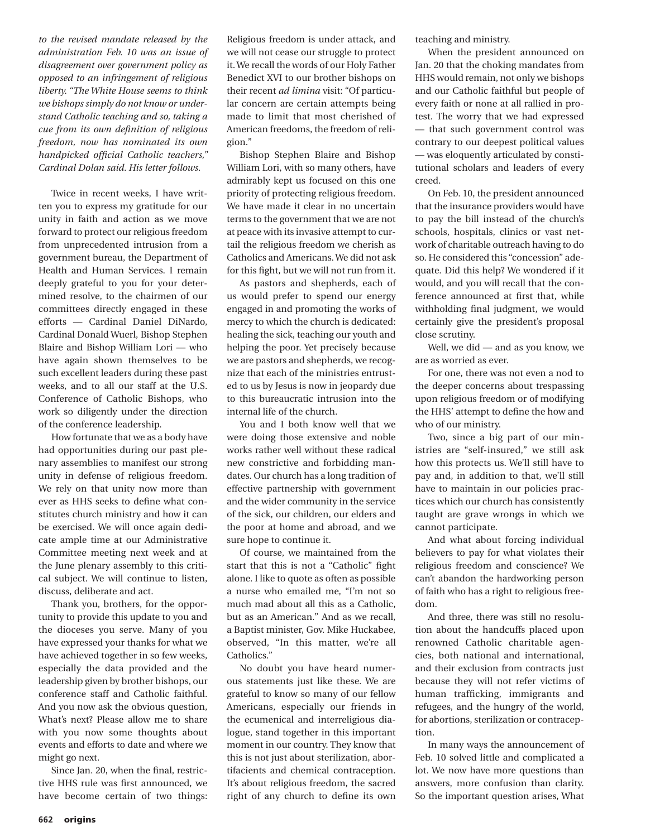*to the revised mandate released by the administration Feb. 10 was an issue of disagreement over government policy as opposed to an infringement of religious liberty. "The White House seems to think we bishops simply do not know or understand Catholic teaching and so, taking a cue from its own definition of religious freedom, now has nominated its own handpicked official Catholic teachers," Cardinal Dolan said. His letter follows.*

Twice in recent weeks, I have written you to express my gratitude for our unity in faith and action as we move forward to protect our religious freedom from unprecedented intrusion from a government bureau, the Department of Health and Human Services. I remain deeply grateful to you for your determined resolve, to the chairmen of our committees directly engaged in these efforts — Cardinal Daniel DiNardo, Cardinal Donald Wuerl, Bishop Stephen Blaire and Bishop William Lori — who have again shown themselves to be such excellent leaders during these past weeks, and to all our staff at the U.S. Conference of Catholic Bishops, who work so diligently under the direction of the conference leadership.

How fortunate that we as a body have had opportunities during our past plenary assemblies to manifest our strong unity in defense of religious freedom. We rely on that unity now more than ever as HHS seeks to define what constitutes church ministry and how it can be exercised. We will once again dedicate ample time at our Administrative Committee meeting next week and at the June plenary assembly to this critical subject. We will continue to listen, discuss, deliberate and act.

Thank you, brothers, for the opportunity to provide this update to you and the dioceses you serve. Many of you have expressed your thanks for what we have achieved together in so few weeks, especially the data provided and the leadership given by brother bishops, our conference staff and Catholic faithful. And you now ask the obvious question, What's next? Please allow me to share with you now some thoughts about events and efforts to date and where we might go next.

Since Jan. 20, when the final, restrictive HHS rule was first announced, we have become certain of two things:

Religious freedom is under attack, and we will not cease our struggle to protect it. We recall the words of our Holy Father Benedict XVI to our brother bishops on their recent *ad limina* visit: "Of particular concern are certain attempts being made to limit that most cherished of American freedoms, the freedom of religion."

Bishop Stephen Blaire and Bishop William Lori, with so many others, have admirably kept us focused on this one priority of protecting religious freedom. We have made it clear in no uncertain terms to the government that we are not at peace with its invasive attempt to curtail the religious freedom we cherish as Catholics and Americans. We did not ask for this fight, but we will not run from it.

As pastors and shepherds, each of us would prefer to spend our energy engaged in and promoting the works of mercy to which the church is dedicated: healing the sick, teaching our youth and helping the poor. Yet precisely because we are pastors and shepherds, we recognize that each of the ministries entrusted to us by Jesus is now in jeopardy due to this bureaucratic intrusion into the internal life of the church.

You and I both know well that we were doing those extensive and noble works rather well without these radical new constrictive and forbidding mandates. Our church has a long tradition of effective partnership with government and the wider community in the service of the sick, our children, our elders and the poor at home and abroad, and we sure hope to continue it.

Of course, we maintained from the start that this is not a "Catholic" fight alone. I like to quote as often as possible a nurse who emailed me, "I'm not so much mad about all this as a Catholic, but as an American." And as we recall, a Baptist minister, Gov. Mike Huckabee, observed, "In this matter, we're all Catholics."

No doubt you have heard numerous statements just like these. We are grateful to know so many of our fellow Americans, especially our friends in the ecumenical and interreligious dialogue, stand together in this important moment in our country. They know that this is not just about sterilization, abortifacients and chemical contraception. It's about religious freedom, the sacred right of any church to define its own teaching and ministry.

When the president announced on Jan. 20 that the choking mandates from HHS would remain, not only we bishops and our Catholic faithful but people of every faith or none at all rallied in protest. The worry that we had expressed — that such government control was contrary to our deepest political values — was eloquently articulated by constitutional scholars and leaders of every creed.

On Feb. 10, the president announced that the insurance providers would have to pay the bill instead of the church's schools, hospitals, clinics or vast network of charitable outreach having to do so. He considered this "concession" adequate. Did this help? We wondered if it would, and you will recall that the conference announced at first that, while withholding final judgment, we would certainly give the president's proposal close scrutiny.

Well, we did — and as you know, we are as worried as ever.

For one, there was not even a nod to the deeper concerns about trespassing upon religious freedom or of modifying the HHS' attempt to define the how and who of our ministry.

Two, since a big part of our ministries are "self-insured," we still ask how this protects us. We'll still have to pay and, in addition to that, we'll still have to maintain in our policies practices which our church has consistently taught are grave wrongs in which we cannot participate.

And what about forcing individual believers to pay for what violates their religious freedom and conscience? We can't abandon the hardworking person of faith who has a right to religious freedom.

And three, there was still no resolution about the handcuffs placed upon renowned Catholic charitable agencies, both national and international, and their exclusion from contracts just because they will not refer victims of human trafficking, immigrants and refugees, and the hungry of the world, for abortions, sterilization or contraception.

In many ways the announcement of Feb. 10 solved little and complicated a lot. We now have more questions than answers, more confusion than clarity. So the important question arises, What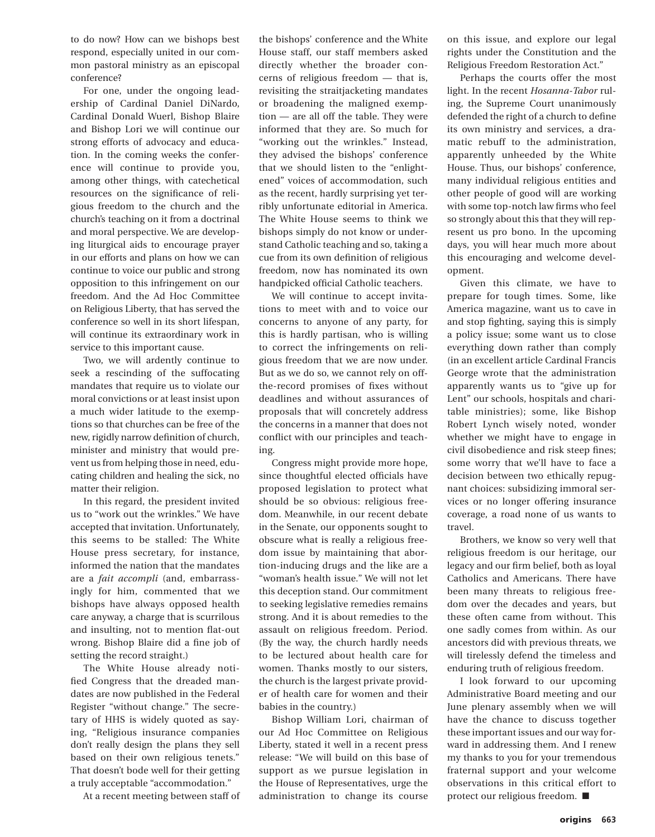to do now? How can we bishops best respond, especially united in our common pastoral ministry as an episcopal conference?

For one, under the ongoing leadership of Cardinal Daniel DiNardo, Cardinal Donald Wuerl, Bishop Blaire and Bishop Lori we will continue our strong efforts of advocacy and education. In the coming weeks the conference will continue to provide you, among other things, with catechetical resources on the significance of religious freedom to the church and the church's teaching on it from a doctrinal and moral perspective. We are developing liturgical aids to encourage prayer in our efforts and plans on how we can continue to voice our public and strong opposition to this infringement on our freedom. And the Ad Hoc Committee on Religious Liberty, that has served the conference so well in its short lifespan, will continue its extraordinary work in service to this important cause.

Two, we will ardently continue to seek a rescinding of the suffocating mandates that require us to violate our moral convictions or at least insist upon a much wider latitude to the exemptions so that churches can be free of the new, rigidly narrow definition of church, minister and ministry that would prevent us from helping those in need, educating children and healing the sick, no matter their religion.

In this regard, the president invited us to "work out the wrinkles." We have accepted that invitation. Unfortunately, this seems to be stalled: The White House press secretary, for instance, informed the nation that the mandates are a *fait accompli* (and, embarrassingly for him, commented that we bishops have always opposed health care anyway, a charge that is scurrilous and insulting, not to mention flat-out wrong. Bishop Blaire did a fine job of setting the record straight.)

The White House already notified Congress that the dreaded mandates are now published in the Federal Register "without change." The secretary of HHS is widely quoted as saying, "Religious insurance companies don't really design the plans they sell based on their own religious tenets." That doesn't bode well for their getting a truly acceptable "accommodation."

At a recent meeting between staff of

the bishops' conference and the White House staff, our staff members asked directly whether the broader concerns of religious freedom — that is, revisiting the straitjacketing mandates or broadening the maligned exemption — are all off the table. They were informed that they are. So much for "working out the wrinkles." Instead, they advised the bishops' conference that we should listen to the "enlightened" voices of accommodation, such as the recent, hardly surprising yet terribly unfortunate editorial in America. The White House seems to think we bishops simply do not know or understand Catholic teaching and so, taking a cue from its own definition of religious freedom, now has nominated its own handpicked official Catholic teachers.

We will continue to accept invitations to meet with and to voice our concerns to anyone of any party, for this is hardly partisan, who is willing to correct the infringements on religious freedom that we are now under. But as we do so, we cannot rely on offthe-record promises of fixes without deadlines and without assurances of proposals that will concretely address the concerns in a manner that does not conflict with our principles and teaching.

Congress might provide more hope, since thoughtful elected officials have proposed legislation to protect what should be so obvious: religious freedom. Meanwhile, in our recent debate in the Senate, our opponents sought to obscure what is really a religious freedom issue by maintaining that abortion-inducing drugs and the like are a "woman's health issue." We will not let this deception stand. Our commitment to seeking legislative remedies remains strong. And it is about remedies to the assault on religious freedom. Period. (By the way, the church hardly needs to be lectured about health care for women. Thanks mostly to our sisters, the church is the largest private provider of health care for women and their babies in the country.)

Bishop William Lori, chairman of our Ad Hoc Committee on Religious Liberty, stated it well in a recent press release: "We will build on this base of support as we pursue legislation in the House of Representatives, urge the administration to change its course

on this issue, and explore our legal rights under the Constitution and the Religious Freedom Restoration Act."

Perhaps the courts offer the most light. In the recent *Hosanna-Tabor* ruling, the Supreme Court unanimously defended the right of a church to define its own ministry and services, a dramatic rebuff to the administration, apparently unheeded by the White House. Thus, our bishops' conference, many individual religious entities and other people of good will are working with some top-notch law firms who feel so strongly about this that they will represent us pro bono. In the upcoming days, you will hear much more about this encouraging and welcome development.

Given this climate, we have to prepare for tough times. Some, like America magazine, want us to cave in and stop fighting, saying this is simply a policy issue; some want us to close everything down rather than comply (in an excellent article Cardinal Francis George wrote that the administration apparently wants us to "give up for Lent" our schools, hospitals and charitable ministries); some, like Bishop Robert Lynch wisely noted, wonder whether we might have to engage in civil disobedience and risk steep fines; some worry that we'll have to face a decision between two ethically repugnant choices: subsidizing immoral services or no longer offering insurance coverage, a road none of us wants to travel.

Brothers, we know so very well that religious freedom is our heritage, our legacy and our firm belief, both as loyal Catholics and Americans. There have been many threats to religious freedom over the decades and years, but these often came from without. This one sadly comes from within. As our ancestors did with previous threats, we will tirelessly defend the timeless and enduring truth of religious freedom.

I look forward to our upcoming Administrative Board meeting and our June plenary assembly when we will have the chance to discuss together these important issues and our way forward in addressing them. And I renew my thanks to you for your tremendous fraternal support and your welcome observations in this critical effort to protect our religious freedom. ■